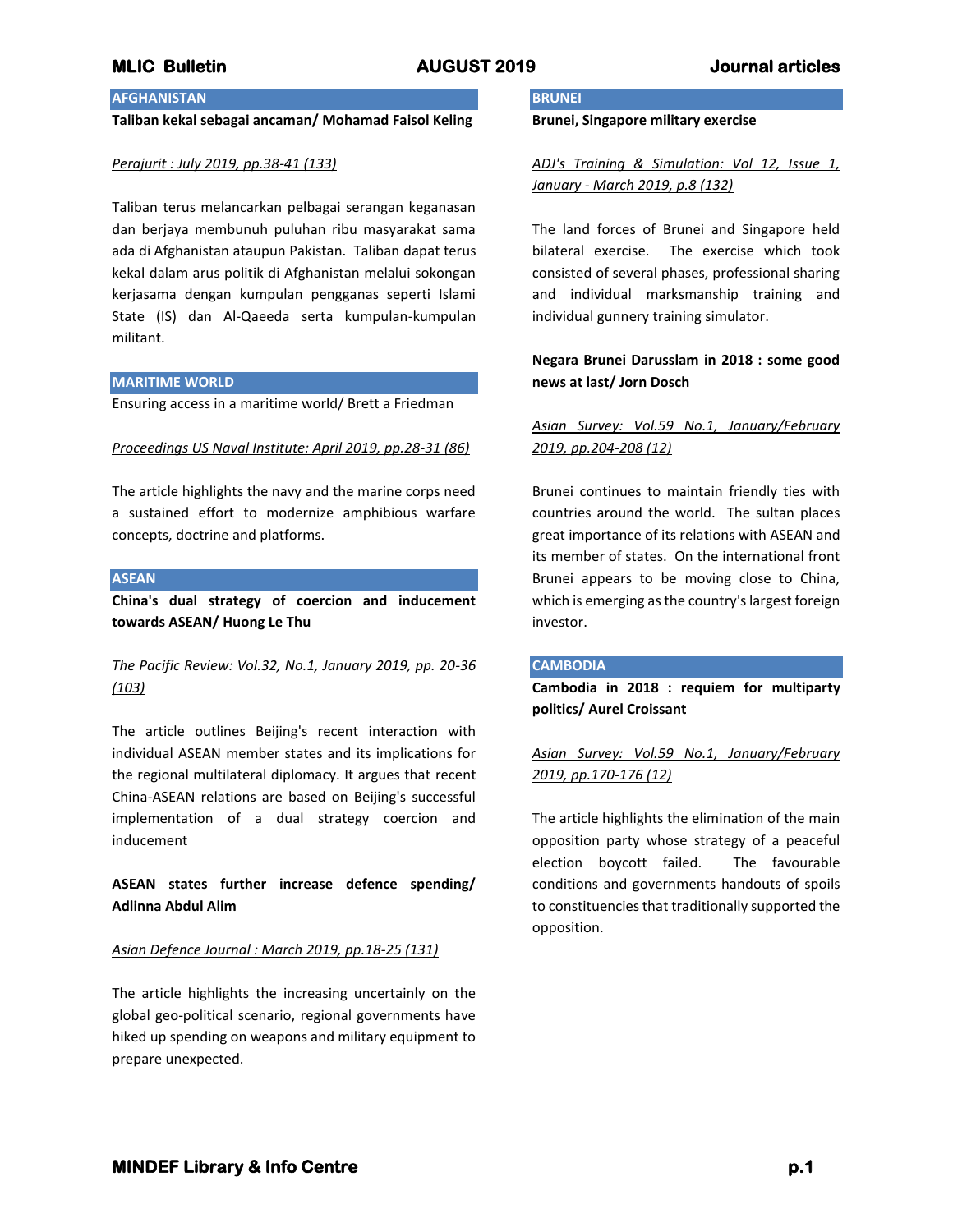# **AFGHANISTAN**

**Taliban kekal sebagai ancaman/ Mohamad Faisol Keling**

### *Perajurit : July 2019, pp.38-41 (133)*

Taliban terus melancarkan pelbagai serangan keganasan dan berjaya membunuh puluhan ribu masyarakat sama ada di Afghanistan ataupun Pakistan. Taliban dapat terus kekal dalam arus politik di Afghanistan melalui sokongan kerjasama dengan kumpulan pengganas seperti Islami State (IS) dan Al-Qaeeda serta kumpulan-kumpulan militant.

### **MARITIME WORLD**

Ensuring access in a maritime world/ Brett a Friedman

### *Proceedings US Naval Institute: April 2019, pp.28-31 (86)*

The article highlights the navy and the marine corps need a sustained effort to modernize amphibious warfare concepts, doctrine and platforms.

### **ASEAN**

**China's dual strategy of coercion and inducement towards ASEAN/ Huong Le Thu**

# *The Pacific Review: Vol.32, No.1, January 2019, pp. 20-36 (103)*

The article outlines Beijing's recent interaction with individual ASEAN member states and its implications for the regional multilateral diplomacy. It argues that recent China-ASEAN relations are based on Beijing's successful implementation of a dual strategy coercion and inducement

**ASEAN states further increase defence spending/ Adlinna Abdul Alim**

### *Asian Defence Journal : March 2019, pp.18-25 (131)*

The article highlights the increasing uncertainly on the global geo-political scenario, regional governments have hiked up spending on weapons and military equipment to prepare unexpected.

## **BRUNEI**

**Brunei, Singapore military exercise**

*ADJ's Training & Simulation: Vol 12, Issue 1, January - March 2019, p.8 (132)*

The land forces of Brunei and Singapore held bilateral exercise. The exercise which took consisted of several phases, professional sharing and individual marksmanship training and individual gunnery training simulator.

# **Negara Brunei Darusslam in 2018 : some good news at last/ Jorn Dosch**

# *Asian Survey: Vol.59 No.1, January/February 2019, pp.204-208 (12)*

Brunei continues to maintain friendly ties with countries around the world. The sultan places great importance of its relations with ASEAN and its member of states. On the international front Brunei appears to be moving close to China, which is emerging as the country's largest foreign investor.

### **CAMBODIA**

**Cambodia in 2018 : requiem for multiparty politics/ Aurel Croissant**

# *Asian Survey: Vol.59 No.1, January/February 2019, pp.170-176 (12)*

The article highlights the elimination of the main opposition party whose strategy of a peaceful election boycott failed. The favourable conditions and governments handouts of spoils to constituencies that traditionally supported the opposition.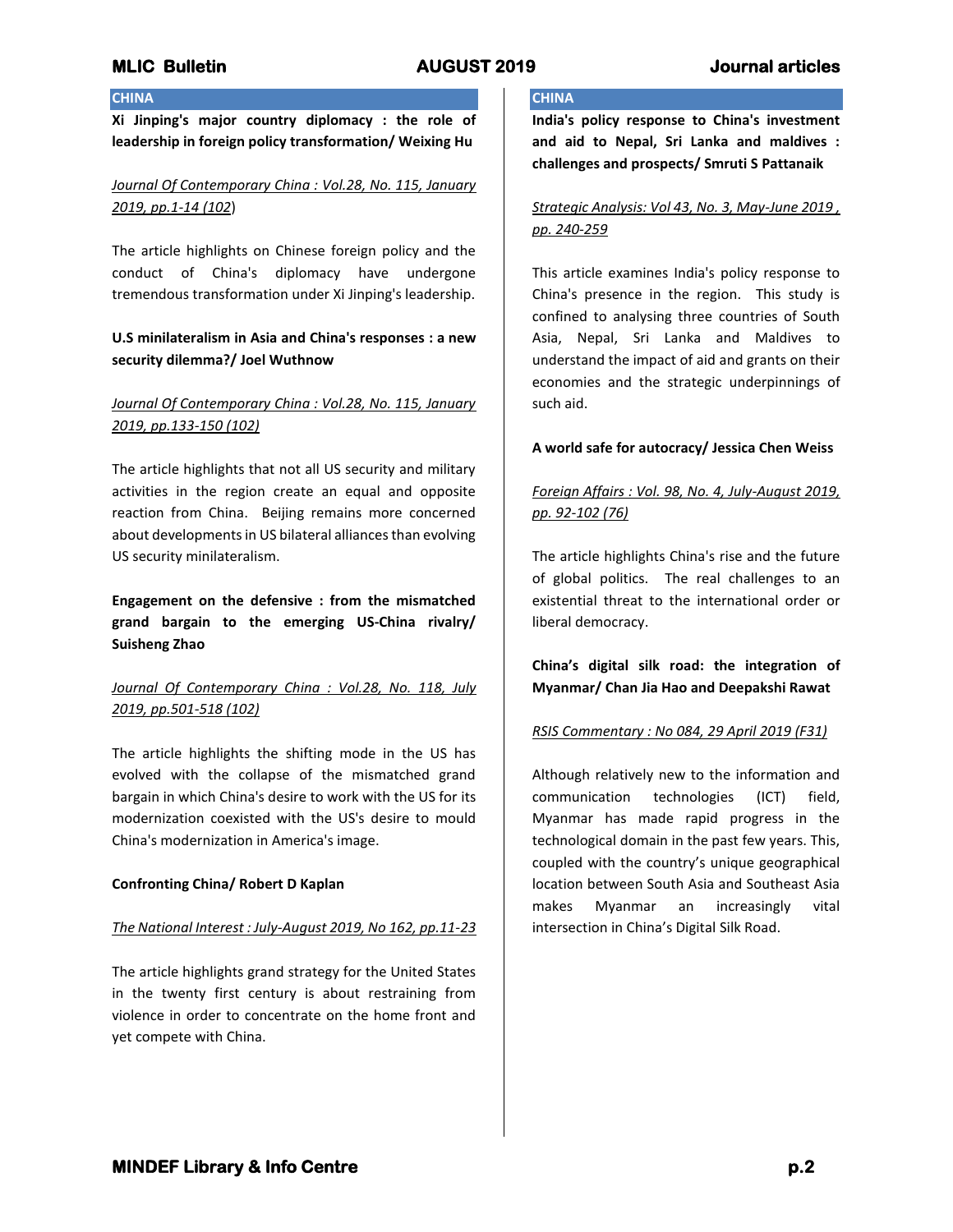# **MLIC Bulletin AUGUST 2019 Journal articles**

## **CHINA**

**Xi Jinping's major country diplomacy : the role of leadership in foreign policy transformation/ Weixing Hu**

# *Journal Of Contemporary China : Vol.28, No. 115, January 2019, pp.1-14 (102*)

The article highlights on Chinese foreign policy and the conduct of China's diplomacy have undergone tremendous transformation under Xi Jinping's leadership.

# **U.S minilateralism in Asia and China's responses : a new security dilemma?/ Joel Wuthnow**

# *Journal Of Contemporary China : Vol.28, No. 115, January 2019, pp.133-150 (102)*

The article highlights that not all US security and military activities in the region create an equal and opposite reaction from China. Beijing remains more concerned about developments in US bilateral alliances than evolving US security minilateralism.

**Engagement on the defensive : from the mismatched grand bargain to the emerging US-China rivalry/ Suisheng Zhao**

# *Journal Of Contemporary China : Vol.28, No. 118, July 2019, pp.501-518 (102)*

The article highlights the shifting mode in the US has evolved with the collapse of the mismatched grand bargain in which China's desire to work with the US for its modernization coexisted with the US's desire to mould China's modernization in America's image.

### **Confronting China/ Robert D Kaplan**

### *The National Interest : July-August 2019, No 162, pp.11-23*

The article highlights grand strategy for the United States in the twenty first century is about restraining from violence in order to concentrate on the home front and yet compete with China.

## **CHINA**

**India's policy response to China's investment and aid to Nepal, Sri Lanka and maldives : challenges and prospects/ Smruti S Pattanaik**

*Strategic Analysis: Vol 43, No. 3, May-June 2019 , pp. 240-259*

This article examines India's policy response to China's presence in the region. This study is confined to analysing three countries of South Asia, Nepal, Sri Lanka and Maldives to understand the impact of aid and grants on their economies and the strategic underpinnings of such aid.

## **A world safe for autocracy/ Jessica Chen Weiss**

# *Foreign Affairs : Vol. 98, No. 4, July-August 2019, pp. 92-102 (76)*

The article highlights China's rise and the future of global politics. The real challenges to an existential threat to the international order or liberal democracy.

# **China's digital silk road: the integration of Myanmar/ Chan Jia Hao and Deepakshi Rawat**

## *RSIS Commentary : No 084, 29 April 2019 (F31)*

Although relatively new to the information and communication technologies (ICT) field, Myanmar has made rapid progress in the technological domain in the past few years. This, coupled with the country's unique geographical location between South Asia and Southeast Asia makes Myanmar an increasingly vital intersection in China's Digital Silk Road.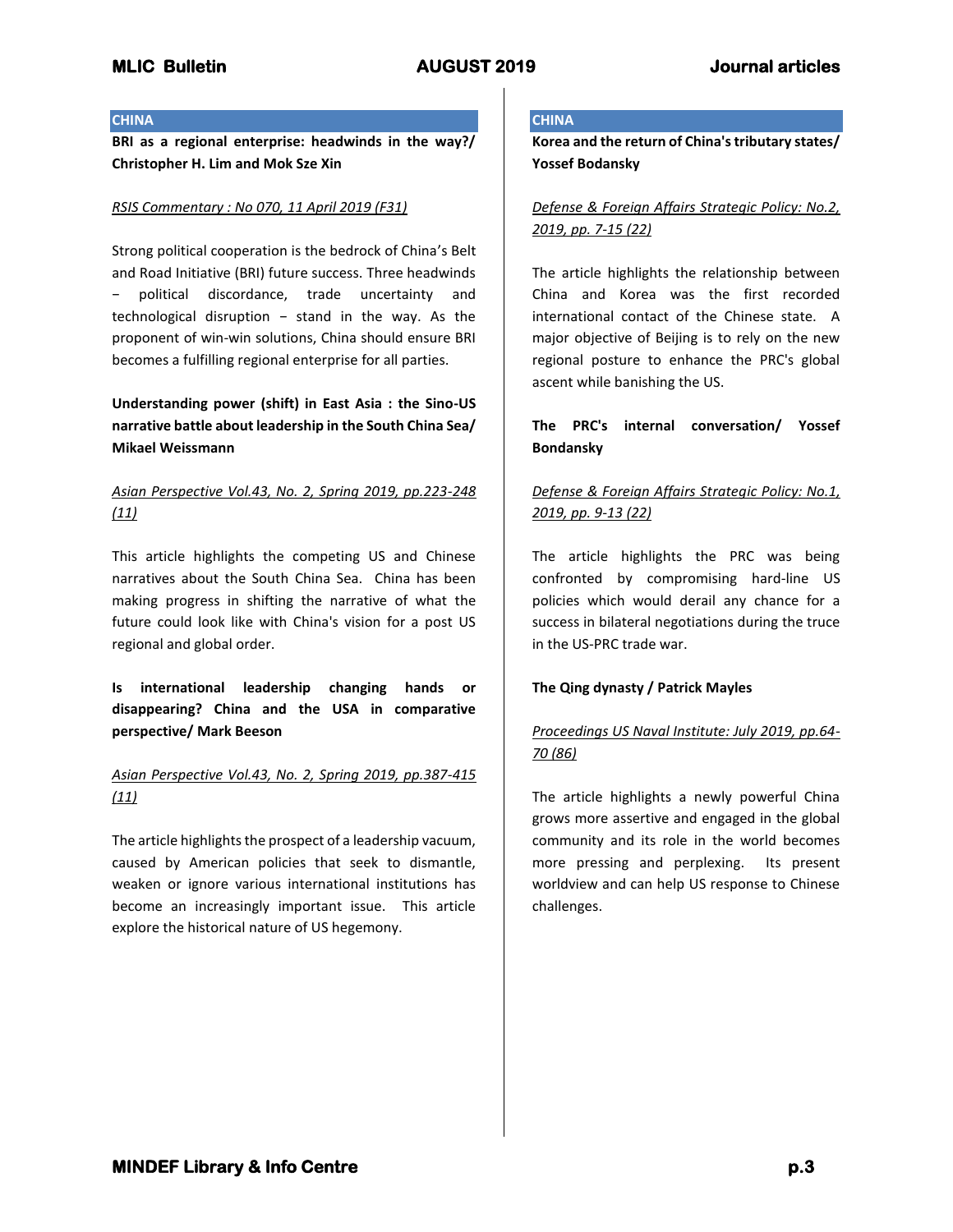### **CHINA**

**BRI as a regional enterprise: headwinds in the way?/ Christopher H. Lim and Mok Sze Xin**

## *RSIS Commentary : No 070, 11 April 2019 (F31)*

Strong political cooperation is the bedrock of China's Belt and Road Initiative (BRI) future success. Three headwinds political discordance, trade uncertainty and technological disruption − stand in the way. As the proponent of win-win solutions, China should ensure BRI becomes a fulfilling regional enterprise for all parties.

**Understanding power (shift) in East Asia : the Sino-US narrative battle about leadership in the South China Sea/ Mikael Weissmann**

# *Asian Perspective Vol.43, No. 2, Spring 2019, pp.223-248 (11)*

This article highlights the competing US and Chinese narratives about the South China Sea. China has been making progress in shifting the narrative of what the future could look like with China's vision for a post US regional and global order.

**Is international leadership changing hands or disappearing? China and the USA in comparative perspective/ Mark Beeson**

# *Asian Perspective Vol.43, No. 2, Spring 2019, pp.387-415 (11)*

The article highlights the prospect of a leadership vacuum, caused by American policies that seek to dismantle, weaken or ignore various international institutions has become an increasingly important issue. This article explore the historical nature of US hegemony.

## **CHINA**

**Korea and the return of China's tributary states/ Yossef Bodansky**

*Defense & Foreign Affairs Strategic Policy: No.2, 2019, pp. 7-15 (22)*

The article highlights the relationship between China and Korea was the first recorded international contact of the Chinese state. A major objective of Beijing is to rely on the new regional posture to enhance the PRC's global ascent while banishing the US.

# **The PRC's internal conversation/ Yossef Bondansky**

# *Defense & Foreign Affairs Strategic Policy: No.1, 2019, pp. 9-13 (22)*

The article highlights the PRC was being confronted by compromising hard-line US policies which would derail any chance for a success in bilateral negotiations during the truce in the US-PRC trade war.

## **The Qing dynasty / Patrick Mayles**

# *Proceedings US Naval Institute: July 2019, pp.64- 70 (86)*

The article highlights a newly powerful China grows more assertive and engaged in the global community and its role in the world becomes more pressing and perplexing. Its present worldview and can help US response to Chinese challenges.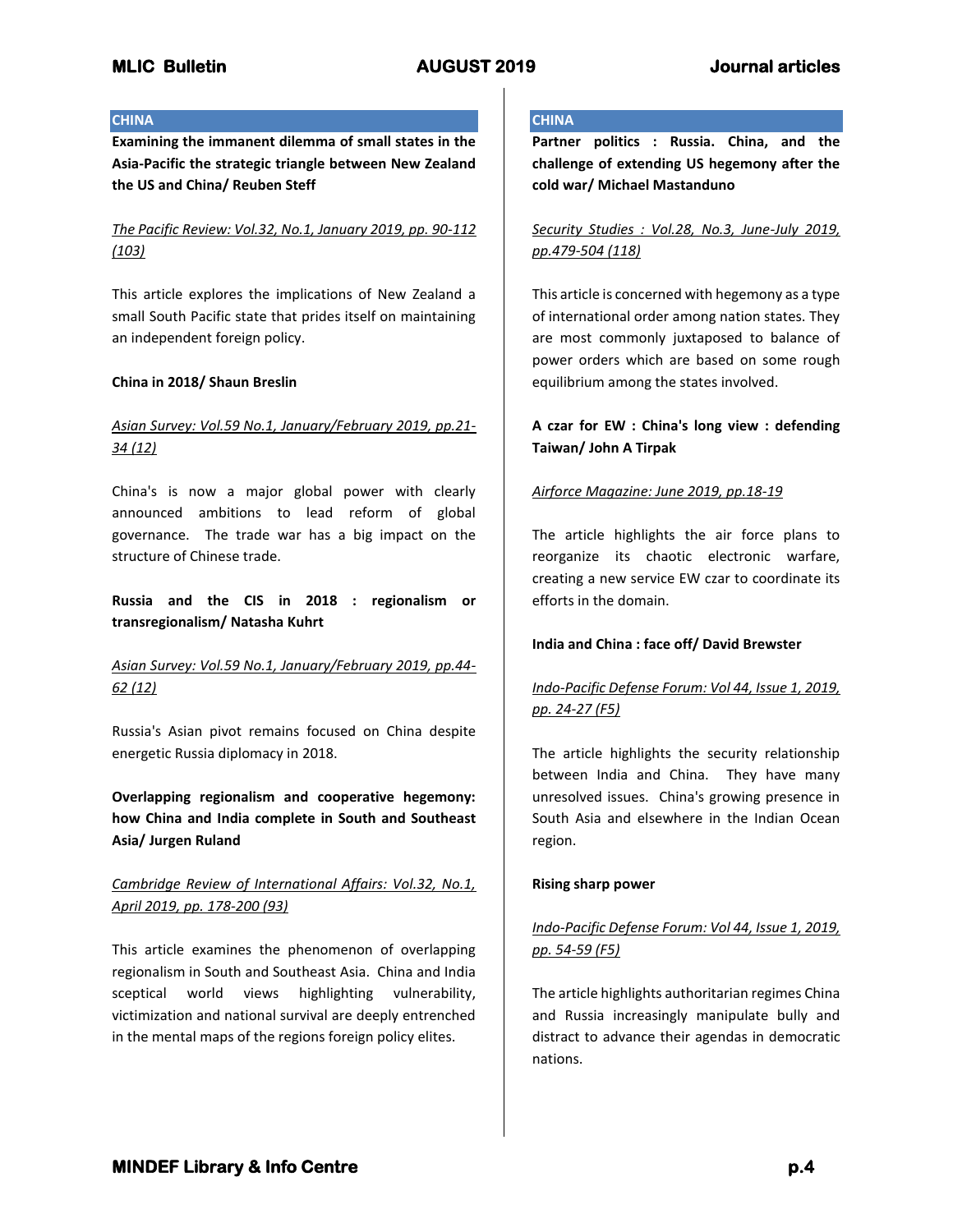## **CHINA**

**Examining the immanent dilemma of small states in the Asia-Pacific the strategic triangle between New Zealand the US and China/ Reuben Steff**

*The Pacific Review: Vol.32, No.1, January 2019, pp. 90-112 (103)*

This article explores the implications of New Zealand a small South Pacific state that prides itself on maintaining an independent foreign policy.

## **China in 2018/ Shaun Breslin**

# *Asian Survey: Vol.59 No.1, January/February 2019, pp.21- 34 (12)*

China's is now a major global power with clearly announced ambitions to lead reform of global governance. The trade war has a big impact on the structure of Chinese trade.

**Russia and the CIS in 2018 : regionalism or transregionalism/ Natasha Kuhrt**

# *Asian Survey: Vol.59 No.1, January/February 2019, pp.44- 62 (12)*

Russia's Asian pivot remains focused on China despite energetic Russia diplomacy in 2018.

**Overlapping regionalism and cooperative hegemony: how China and India complete in South and Southeast Asia/ Jurgen Ruland**

# *Cambridge Review of International Affairs: Vol.32, No.1, April 2019, pp. 178-200 (93)*

This article examines the phenomenon of overlapping regionalism in South and Southeast Asia. China and India sceptical world views highlighting vulnerability, victimization and national survival are deeply entrenched in the mental maps of the regions foreign policy elites.

## **CHINA**

**Partner politics : Russia. China, and the challenge of extending US hegemony after the cold war/ Michael Mastanduno**

*Security Studies : Vol.28, No.3, June-July 2019, pp.479-504 (118)*

This article is concerned with hegemony as a type of international order among nation states. They are most commonly juxtaposed to balance of power orders which are based on some rough equilibrium among the states involved.

# **A czar for EW : China's long view : defending Taiwan/ John A Tirpak**

## *Airforce Magazine: June 2019, pp.18-19*

The article highlights the air force plans to reorganize its chaotic electronic warfare, creating a new service EW czar to coordinate its efforts in the domain.

## **India and China : face off/ David Brewster**

# *Indo-Pacific Defense Forum: Vol 44, Issue 1, 2019, pp. 24-27 (F5)*

The article highlights the security relationship between India and China. They have many unresolved issues. China's growing presence in South Asia and elsewhere in the Indian Ocean region.

## **Rising sharp power**

*Indo-Pacific Defense Forum: Vol 44, Issue 1, 2019, pp. 54-59 (F5)*

The article highlights authoritarian regimes China and Russia increasingly manipulate bully and distract to advance their agendas in democratic nations.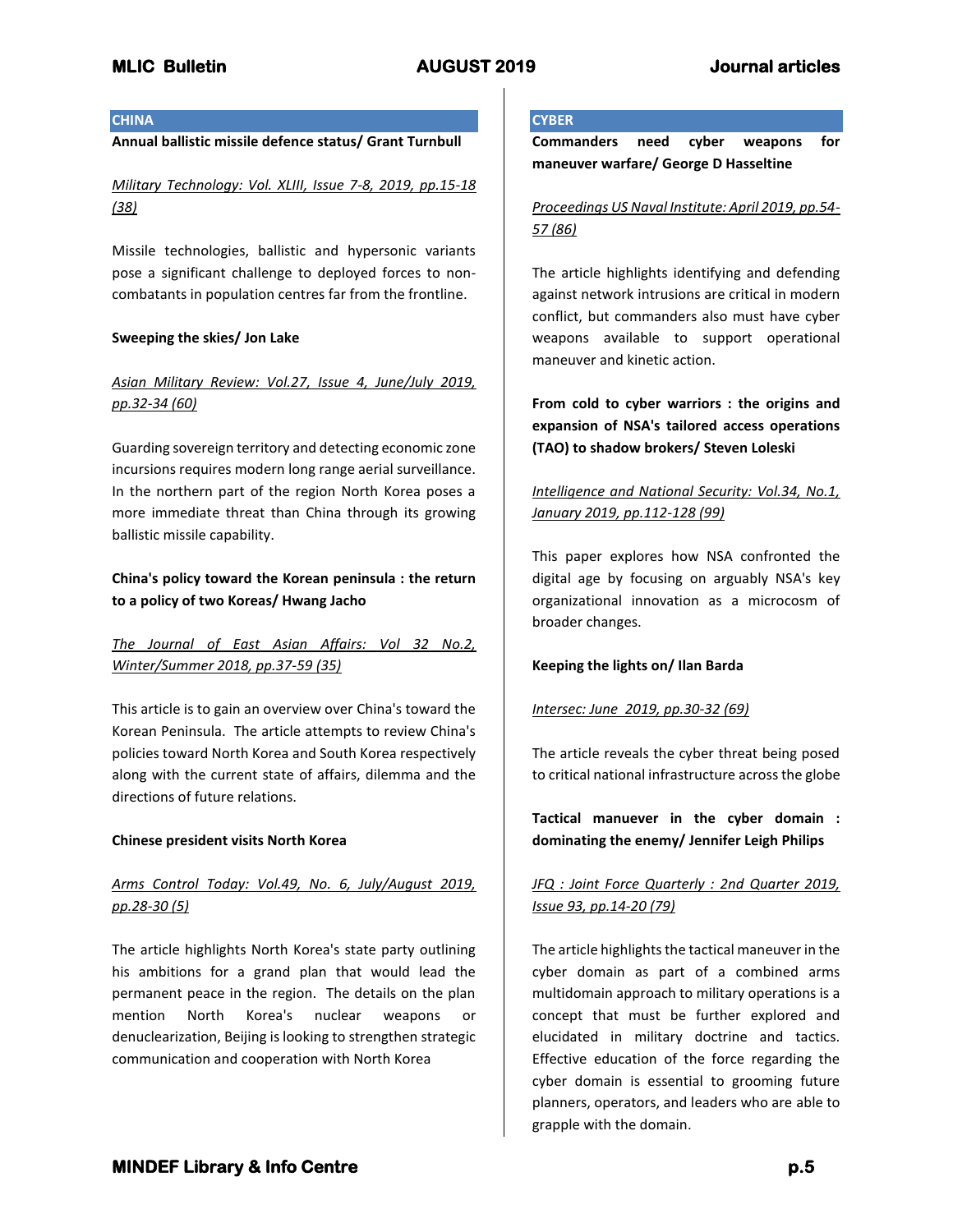## **CHINA**

## **Annual ballistic missile defence status/ Grant Turnbull**

*Military Technology: Vol. XLIII, Issue 7-8, 2019, pp.15-18 (38)*

Missile technologies, ballistic and hypersonic variants pose a significant challenge to deployed forces to noncombatants in population centres far from the frontline.

## **Sweeping the skies/ Jon Lake**

# *Asian Military Review: Vol.27, Issue 4, June/July 2019, pp.32-34 (60)*

Guarding sovereign territory and detecting economic zone incursions requires modern long range aerial surveillance. In the northern part of the region North Korea poses a more immediate threat than China through its growing ballistic missile capability.

# **China's policy toward the Korean peninsula : the return to a policy of two Koreas/ Hwang Jacho**

# *The Journal of East Asian Affairs: Vol 32 No.2, Winter/Summer 2018, pp.37-59 (35)*

This article is to gain an overview over China's toward the Korean Peninsula. The article attempts to review China's policies toward North Korea and South Korea respectively along with the current state of affairs, dilemma and the directions of future relations.

## **Chinese president visits North Korea**

# *Arms Control Today: Vol.49, No. 6, July/August 2019, pp.28-30 (5)*

The article highlights North Korea's state party outlining his ambitions for a grand plan that would lead the permanent peace in the region. The details on the plan mention North Korea's nuclear weapons or denuclearization, Beijing is looking to strengthen strategic communication and cooperation with North Korea

## **CYBER**

**Commanders need cyber weapons for maneuver warfare/ George D Hasseltine**

# *Proceedings US Naval Institute: April 2019, pp.54- 57 (86)*

The article highlights identifying and defending against network intrusions are critical in modern conflict, but commanders also must have cyber weapons available to support operational maneuver and kinetic action.

**From cold to cyber warriors : the origins and expansion of NSA's tailored access operations (TAO) to shadow brokers/ Steven Loleski**

# *Intelligence and National Security: Vol.34, No.1, January 2019, pp.112-128 (99)*

This paper explores how NSA confronted the digital age by focusing on arguably NSA's key organizational innovation as a microcosm of broader changes.

## **Keeping the lights on/ Ilan Barda**

## *Intersec: June 2019, pp.30-32 (69)*

The article reveals the cyber threat being posed to critical national infrastructure across the globe

**Tactical manuever in the cyber domain : dominating the enemy/ Jennifer Leigh Philips**

# *JFQ : Joint Force Quarterly : 2nd Quarter 2019, Issue 93, pp.14-20 (79)*

The article highlights the tactical maneuver in the cyber domain as part of a combined arms multidomain approach to military operations is a concept that must be further explored and elucidated in military doctrine and tactics. Effective education of the force regarding the cyber domain is essential to grooming future planners, operators, and leaders who are able to grapple with the domain.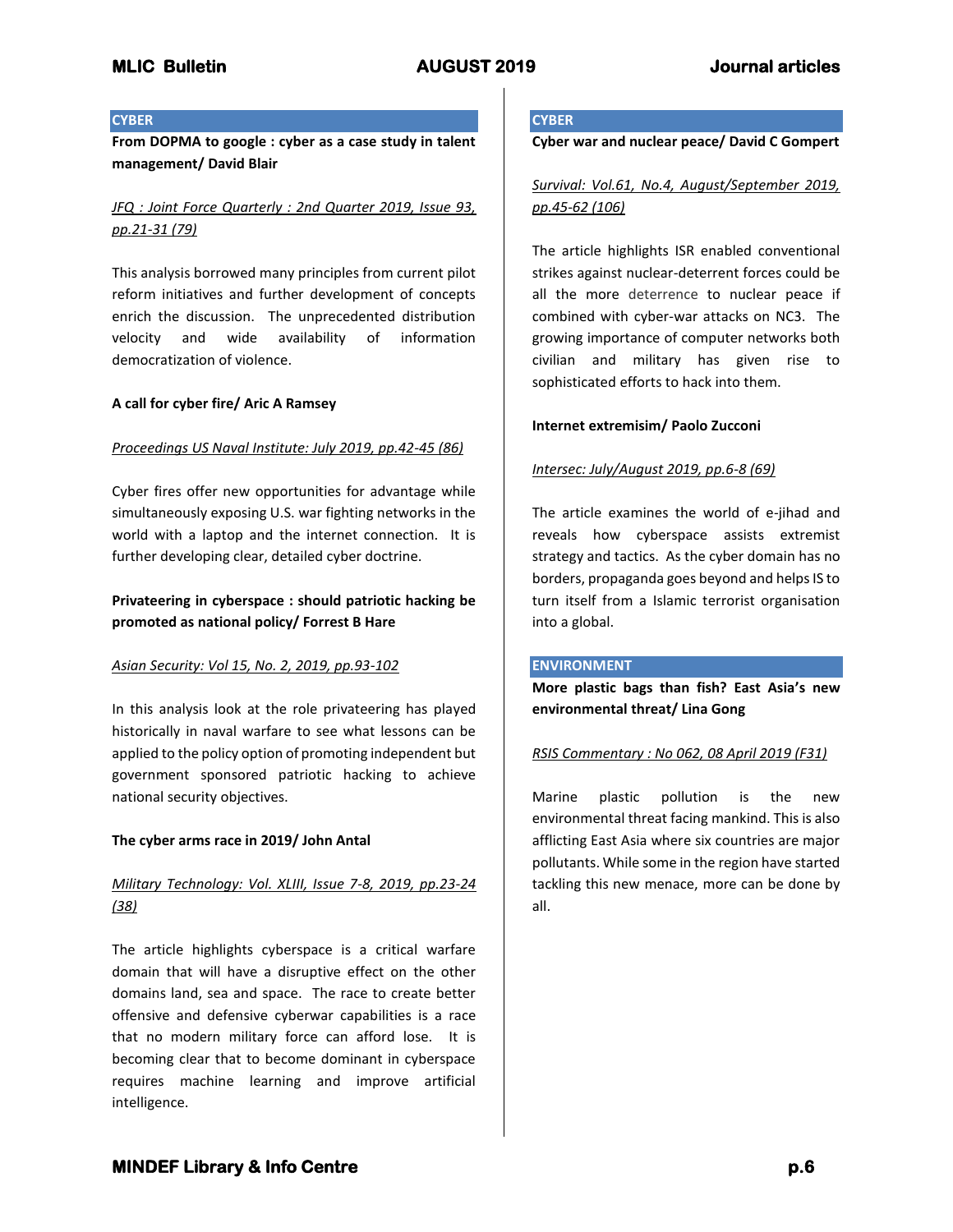## **CYBER**

**From DOPMA to google : cyber as a case study in talent management/ David Blair**

# *JFQ : Joint Force Quarterly : 2nd Quarter 2019, Issue 93, pp.21-31 (79)*

This analysis borrowed many principles from current pilot reform initiatives and further development of concepts enrich the discussion. The unprecedented distribution velocity and wide availability of information democratization of violence.

## **A call for cyber fire/ Aric A Ramsey**

## *Proceedings US Naval Institute: July 2019, pp.42-45 (86)*

Cyber fires offer new opportunities for advantage while simultaneously exposing U.S. war fighting networks in the world with a laptop and the internet connection. It is further developing clear, detailed cyber doctrine.

# **Privateering in cyberspace : should patriotic hacking be promoted as national policy/ Forrest B Hare**

## *Asian Security: Vol 15, No. 2, 2019, pp.93-102*

In this analysis look at the role privateering has played historically in naval warfare to see what lessons can be applied to the policy option of promoting independent but government sponsored patriotic hacking to achieve national security objectives.

## **The cyber arms race in 2019/ John Antal**

# *Military Technology: Vol. XLIII, Issue 7-8, 2019, pp.23-24 (38)*

The article highlights cyberspace is a critical warfare domain that will have a disruptive effect on the other domains land, sea and space. The race to create better offensive and defensive cyberwar capabilities is a race that no modern military force can afford lose. It is becoming clear that to become dominant in cyberspace requires machine learning and improve artificial intelligence.

### **CYBER**

**Cyber war and nuclear peace/ David C Gompert**

# *Survival: Vol.61, No.4, August/September 2019, pp.45-62 (106)*

The article highlights ISR enabled conventional strikes against nuclear-deterrent forces could be all the more deterrence to nuclear peace if combined with cyber-war attacks on NC3. The growing importance of computer networks both civilian and military has given rise to sophisticated efforts to hack into them.

## **Internet extremisim/ Paolo Zucconi**

## *Intersec: July/August 2019, pp.6-8 (69)*

The article examines the world of e-jihad and reveals how cyberspace assists extremist strategy and tactics. As the cyber domain has no borders, propaganda goes beyond and helps IS to turn itself from a Islamic terrorist organisation into a global.

### **ENVIRONMENT**

**More plastic bags than fish? East Asia's new environmental threat/ Lina Gong**

## *RSIS Commentary : No 062, 08 April 2019 (F31)*

Marine plastic pollution is the new environmental threat facing mankind. This is also afflicting East Asia where six countries are major pollutants. While some in the region have started tackling this new menace, more can be done by all.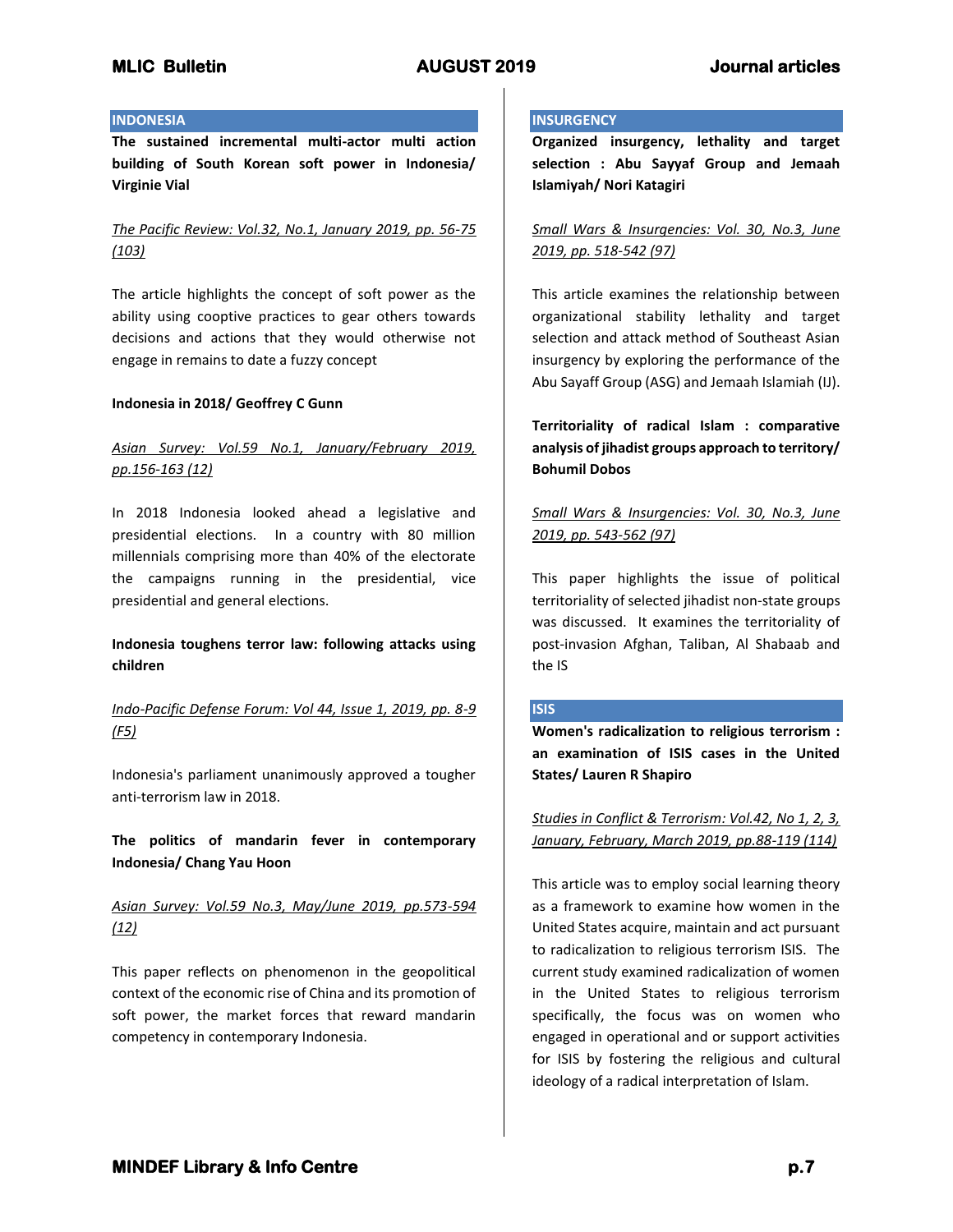### **INDONESIA**

**The sustained incremental multi-actor multi action building of South Korean soft power in Indonesia/ Virginie Vial**

*The Pacific Review: Vol.32, No.1, January 2019, pp. 56-75 (103)*

The article highlights the concept of soft power as the ability using cooptive practices to gear others towards decisions and actions that they would otherwise not engage in remains to date a fuzzy concept

## **Indonesia in 2018/ Geoffrey C Gunn**

# *Asian Survey: Vol.59 No.1, January/February 2019, pp.156-163 (12)*

In 2018 Indonesia looked ahead a legislative and presidential elections. In a country with 80 million millennials comprising more than 40% of the electorate the campaigns running in the presidential, vice presidential and general elections.

## **Indonesia toughens terror law: following attacks using children**

# *Indo-Pacific Defense Forum: Vol 44, Issue 1, 2019, pp. 8-9 (F5)*

Indonesia's parliament unanimously approved a tougher anti-terrorism law in 2018.

**The politics of mandarin fever in contemporary Indonesia/ Chang Yau Hoon**

# *Asian Survey: Vol.59 No.3, May/June 2019, pp.573-594 (12)*

This paper reflects on phenomenon in the geopolitical context of the economic rise of China and its promotion of soft power, the market forces that reward mandarin competency in contemporary Indonesia.

### **INSURGENCY**

**Organized insurgency, lethality and target selection : Abu Sayyaf Group and Jemaah Islamiyah/ Nori Katagiri**

*Small Wars & Insurgencies: Vol. 30, No.3, June 2019, pp. 518-542 (97)*

This article examines the relationship between organizational stability lethality and target selection and attack method of Southeast Asian insurgency by exploring the performance of the Abu Sayaff Group (ASG) and Jemaah Islamiah (IJ).

**Territoriality of radical Islam : comparative analysis of jihadist groups approach to territory/ Bohumil Dobos**

*Small Wars & Insurgencies: Vol. 30, No.3, June 2019, pp. 543-562 (97)*

This paper highlights the issue of political territoriality of selected jihadist non-state groups was discussed. It examines the territoriality of post-invasion Afghan, Taliban, Al Shabaab and the IS

## **ISIS**

**Women's radicalization to religious terrorism : an examination of ISIS cases in the United States/ Lauren R Shapiro**

*Studies in Conflict & Terrorism: Vol.42, No 1, 2, 3, January, February, March 2019, pp.88-119 (114)*

This article was to employ social learning theory as a framework to examine how women in the United States acquire, maintain and act pursuant to radicalization to religious terrorism ISIS. The current study examined radicalization of women in the United States to religious terrorism specifically, the focus was on women who engaged in operational and or support activities for ISIS by fostering the religious and cultural ideology of a radical interpretation of Islam.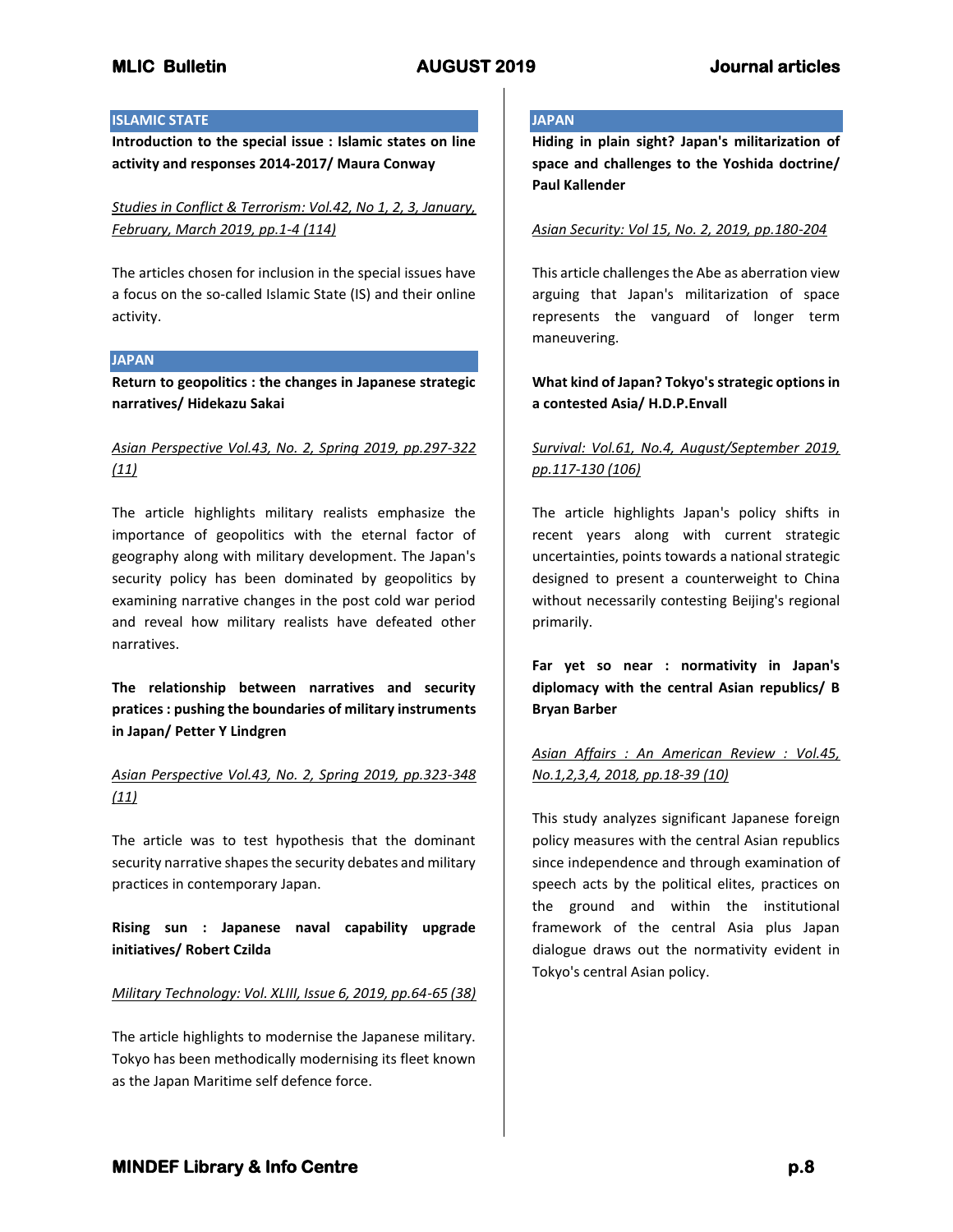## **ISLAMIC STATE**

**Introduction to the special issue : Islamic states on line activity and responses 2014-2017/ Maura Conway**

*Studies in Conflict & Terrorism: Vol.42, No 1, 2, 3, January, February, March 2019, pp.1-4 (114)*

The articles chosen for inclusion in the special issues have a focus on the so-called Islamic State (IS) and their online activity.

## **JAPAN**

**Return to geopolitics : the changes in Japanese strategic narratives/ Hidekazu Sakai**

# *Asian Perspective Vol.43, No. 2, Spring 2019, pp.297-322 (11)*

The article highlights military realists emphasize the importance of geopolitics with the eternal factor of geography along with military development. The Japan's security policy has been dominated by geopolitics by examining narrative changes in the post cold war period and reveal how military realists have defeated other narratives.

**The relationship between narratives and security pratices : pushing the boundaries of military instruments in Japan/ Petter Y Lindgren**

## *Asian Perspective Vol.43, No. 2, Spring 2019, pp.323-348 (11)*

The article was to test hypothesis that the dominant security narrative shapes the security debates and military practices in contemporary Japan.

**Rising sun : Japanese naval capability upgrade initiatives/ Robert Czilda**

### *Military Technology: Vol. XLIII, Issue 6, 2019, pp.64-65 (38)*

The article highlights to modernise the Japanese military. Tokyo has been methodically modernising its fleet known as the Japan Maritime self defence force.

## **JAPAN**

**Hiding in plain sight? Japan's militarization of space and challenges to the Yoshida doctrine/ Paul Kallender**

## *Asian Security: Vol 15, No. 2, 2019, pp.180-204*

This article challenges the Abe as aberration view arguing that Japan's militarization of space represents the vanguard of longer term maneuvering.

# **What kind of Japan? Tokyo's strategic options in a contested Asia/ H.D.P.Envall**

# *Survival: Vol.61, No.4, August/September 2019, pp.117-130 (106)*

The article highlights Japan's policy shifts in recent years along with current strategic uncertainties, points towards a national strategic designed to present a counterweight to China without necessarily contesting Beijing's regional primarily.

**Far yet so near : normativity in Japan's diplomacy with the central Asian republics/ B Bryan Barber**

# *Asian Affairs : An American Review : Vol.45, No.1,2,3,4, 2018, pp.18-39 (10)*

This study analyzes significant Japanese foreign policy measures with the central Asian republics since independence and through examination of speech acts by the political elites, practices on the ground and within the institutional framework of the central Asia plus Japan dialogue draws out the normativity evident in Tokyo's central Asian policy.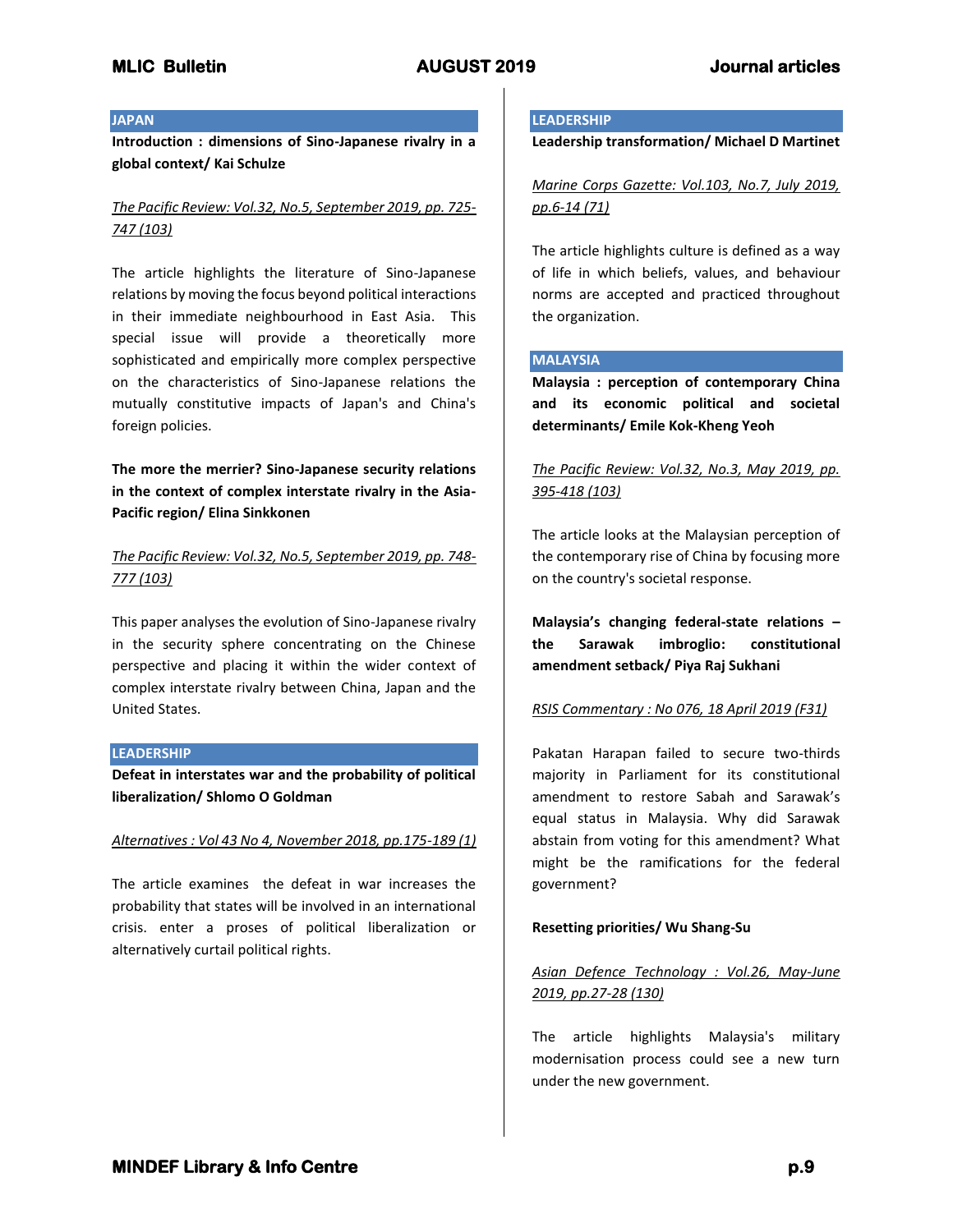### **JAPAN**

**Introduction : dimensions of Sino-Japanese rivalry in a global context/ Kai Schulze**

# *The Pacific Review: Vol.32, No.5, September 2019, pp. 725- 747 (103)*

The article highlights the literature of Sino-Japanese relations by moving the focus beyond political interactions in their immediate neighbourhood in East Asia. This special issue will provide a theoretically more sophisticated and empirically more complex perspective on the characteristics of Sino-Japanese relations the mutually constitutive impacts of Japan's and China's foreign policies.

**The more the merrier? Sino-Japanese security relations in the context of complex interstate rivalry in the Asia-Pacific region/ Elina Sinkkonen**

# *The Pacific Review: Vol.32, No.5, September 2019, pp. 748- 777 (103)*

This paper analyses the evolution of Sino-Japanese rivalry in the security sphere concentrating on the Chinese perspective and placing it within the wider context of complex interstate rivalry between China, Japan and the United States.

### **LEADERSHIP**

**Defeat in interstates war and the probability of political liberalization/ Shlomo O Goldman**

### *Alternatives : Vol 43 No 4, November 2018, pp.175-189 (1)*

The article examines the defeat in war increases the probability that states will be involved in an international crisis. enter a proses of political liberalization or alternatively curtail political rights.

### **LEADERSHIP**

**Leadership transformation/ Michael D Martinet**

*Marine Corps Gazette: Vol.103, No.7, July 2019, pp.6-14 (71)*

The article highlights culture is defined as a way of life in which beliefs, values, and behaviour norms are accepted and practiced throughout the organization.

## **MALAYSIA**

**Malaysia : perception of contemporary China and its economic political and societal determinants/ Emile Kok-Kheng Yeoh**

# *The Pacific Review: Vol.32, No.3, May 2019, pp. 395-418 (103)*

The article looks at the Malaysian perception of the contemporary rise of China by focusing more on the country's societal response.

**Malaysia's changing federal-state relations – the Sarawak imbroglio: constitutional amendment setback/ Piya Raj Sukhani**

### *RSIS Commentary : No 076, 18 April 2019 (F31)*

Pakatan Harapan failed to secure two-thirds majority in Parliament for its constitutional amendment to restore Sabah and Sarawak's equal status in Malaysia. Why did Sarawak abstain from voting for this amendment? What might be the ramifications for the federal government?

### **Resetting priorities/ Wu Shang-Su**

# *Asian Defence Technology : Vol.26, May-June 2019, pp.27-28 (130)*

The article highlights Malaysia's military modernisation process could see a new turn under the new government.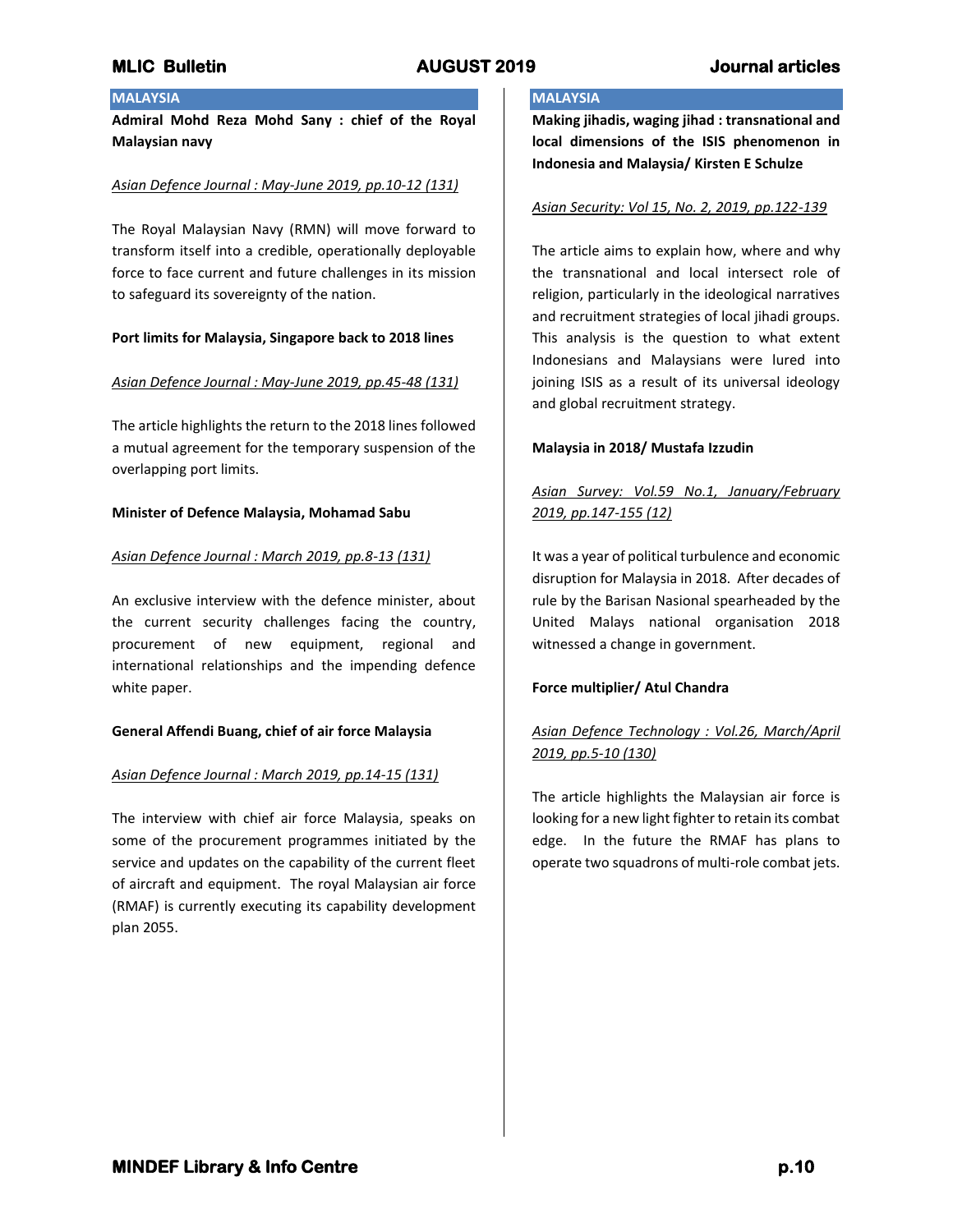## **MALAYSIA**

**Admiral Mohd Reza Mohd Sany : chief of the Royal Malaysian navy**

### *Asian Defence Journal : May-June 2019, pp.10-12 (131)*

The Royal Malaysian Navy (RMN) will move forward to transform itself into a credible, operationally deployable force to face current and future challenges in its mission to safeguard its sovereignty of the nation.

### **Port limits for Malaysia, Singapore back to 2018 lines**

### *Asian Defence Journal : May-June 2019, pp.45-48 (131)*

The article highlights the return to the 2018 lines followed a mutual agreement for the temporary suspension of the overlapping port limits.

### **Minister of Defence Malaysia, Mohamad Sabu**

### *Asian Defence Journal : March 2019, pp.8-13 (131)*

An exclusive interview with the defence minister, about the current security challenges facing the country, procurement of new equipment, regional and international relationships and the impending defence white paper.

### **General Affendi Buang, chief of air force Malaysia**

### *Asian Defence Journal : March 2019, pp.14-15 (131)*

The interview with chief air force Malaysia, speaks on some of the procurement programmes initiated by the service and updates on the capability of the current fleet of aircraft and equipment. The royal Malaysian air force (RMAF) is currently executing its capability development plan 2055.

## **MALAYSIA**

**Making jihadis, waging jihad : transnational and local dimensions of the ISIS phenomenon in Indonesia and Malaysia/ Kirsten E Schulze**

### *Asian Security: Vol 15, No. 2, 2019, pp.122-139*

The article aims to explain how, where and why the transnational and local intersect role of religion, particularly in the ideological narratives and recruitment strategies of local jihadi groups. This analysis is the question to what extent Indonesians and Malaysians were lured into joining ISIS as a result of its universal ideology and global recruitment strategy.

### **Malaysia in 2018/ Mustafa Izzudin**

# *Asian Survey: Vol.59 No.1, January/February 2019, pp.147-155 (12)*

It was a year of political turbulence and economic disruption for Malaysia in 2018. After decades of rule by the Barisan Nasional spearheaded by the United Malays national organisation 2018 witnessed a change in government.

### **Force multiplier/ Atul Chandra**

# *Asian Defence Technology : Vol.26, March/April 2019, pp.5-10 (130)*

The article highlights the Malaysian air force is looking for a new light fighter to retain its combat edge. In the future the RMAF has plans to operate two squadrons of multi-role combat jets.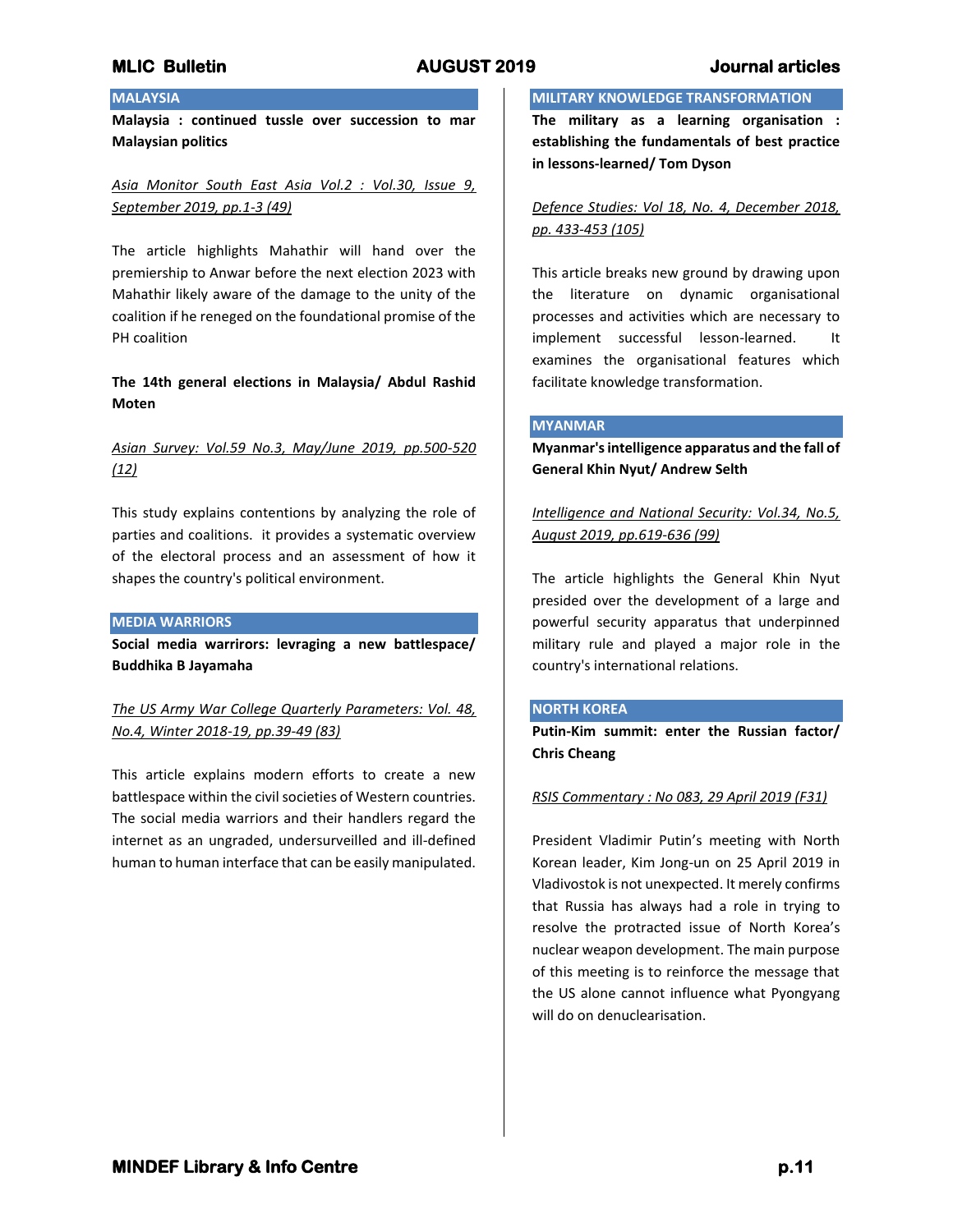# **MALAYSIA**

**Malaysia : continued tussle over succession to mar Malaysian politics**

*Asia Monitor South East Asia Vol.2 : Vol.30, Issue 9, September 2019, pp.1-3 (49)*

The article highlights Mahathir will hand over the premiership to Anwar before the next election 2023 with Mahathir likely aware of the damage to the unity of the coalition if he reneged on the foundational promise of the PH coalition

**The 14th general elections in Malaysia/ Abdul Rashid Moten**

# *Asian Survey: Vol.59 No.3, May/June 2019, pp.500-520 (12)*

This study explains contentions by analyzing the role of parties and coalitions. it provides a systematic overview of the electoral process and an assessment of how it shapes the country's political environment.

### **MEDIA WARRIORS**

**Social media warrirors: levraging a new battlespace/ Buddhika B Jayamaha**

*The US Army War College Quarterly Parameters: Vol. 48, No.4, Winter 2018-19, pp.39-49 (83)*

This article explains modern efforts to create a new battlespace within the civil societies of Western countries. The social media warriors and their handlers regard the internet as an ungraded, undersurveilled and ill-defined human to human interface that can be easily manipulated.

### **MILITARY KNOWLEDGE TRANSFORMATION**

**The military as a learning organisation : establishing the fundamentals of best practice in lessons-learned/ Tom Dyson**

*Defence Studies: Vol 18, No. 4, December 2018, pp. 433-453 (105)*

This article breaks new ground by drawing upon the literature on dynamic organisational processes and activities which are necessary to implement successful lesson-learned. It examines the organisational features which facilitate knowledge transformation.

### **MYANMAR**

**Myanmar's intelligence apparatus and the fall of General Khin Nyut/ Andrew Selth**

*Intelligence and National Security: Vol.34, No.5, August 2019, pp.619-636 (99)*

The article highlights the General Khin Nyut presided over the development of a large and powerful security apparatus that underpinned military rule and played a major role in the country's international relations.

## **NORTH KOREA**

**Putin-Kim summit: enter the Russian factor/ Chris Cheang**

### *RSIS Commentary : No 083, 29 April 2019 (F31)*

President Vladimir Putin's meeting with North Korean leader, Kim Jong-un on 25 April 2019 in Vladivostok is not unexpected. It merely confirms that Russia has always had a role in trying to resolve the protracted issue of North Korea's nuclear weapon development. The main purpose of this meeting is to reinforce the message that the US alone cannot influence what Pyongyang will do on denuclearisation.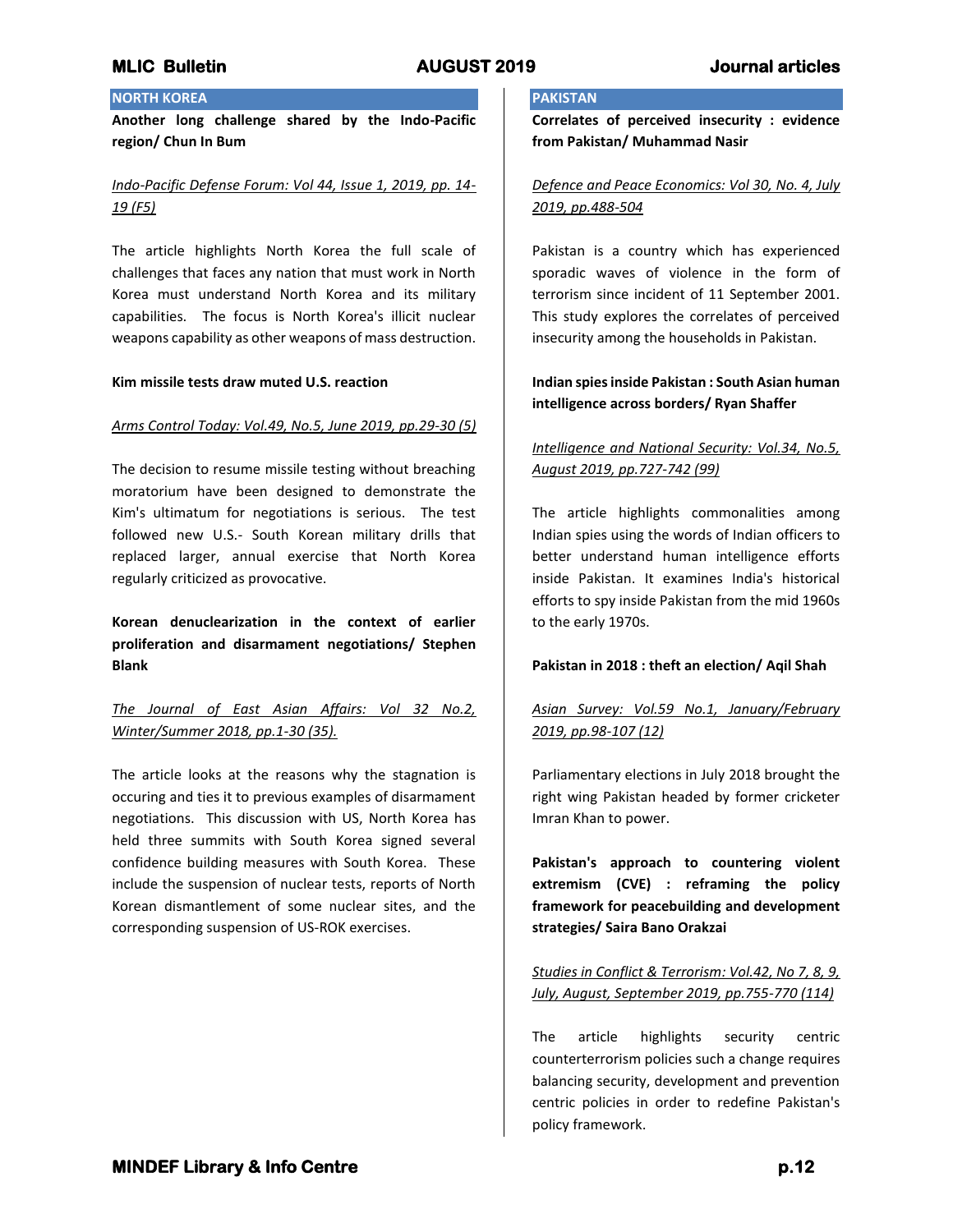# **NORTH KOREA**

**Another long challenge shared by the Indo-Pacific region/ Chun In Bum**

# *Indo-Pacific Defense Forum: Vol 44, Issue 1, 2019, pp. 14- 19 (F5)*

The article highlights North Korea the full scale of challenges that faces any nation that must work in North Korea must understand North Korea and its military capabilities. The focus is North Korea's illicit nuclear weapons capability as other weapons of mass destruction.

### **Kim missile tests draw muted U.S. reaction**

## *Arms Control Today: Vol.49, No.5, June 2019, pp.29-30 (5)*

The decision to resume missile testing without breaching moratorium have been designed to demonstrate the Kim's ultimatum for negotiations is serious. The test followed new U.S.- South Korean military drills that replaced larger, annual exercise that North Korea regularly criticized as provocative.

**Korean denuclearization in the context of earlier proliferation and disarmament negotiations/ Stephen Blank**

*The Journal of East Asian Affairs: Vol 32 No.2, Winter/Summer 2018, pp.1-30 (35).*

The article looks at the reasons why the stagnation is occuring and ties it to previous examples of disarmament negotiations. This discussion with US, North Korea has held three summits with South Korea signed several confidence building measures with South Korea. These include the suspension of nuclear tests, reports of North Korean dismantlement of some nuclear sites, and the corresponding suspension of US-ROK exercises.

## **PAKISTAN**

**Correlates of perceived insecurity : evidence from Pakistan/ Muhammad Nasir**

## *Defence and Peace Economics: Vol 30, No. 4, July 2019, pp.488-504*

Pakistan is a country which has experienced sporadic waves of violence in the form of terrorism since incident of 11 September 2001. This study explores the correlates of perceived insecurity among the households in Pakistan.

# **Indian spies inside Pakistan : South Asian human intelligence across borders/ Ryan Shaffer**

# *Intelligence and National Security: Vol.34, No.5, August 2019, pp.727-742 (99)*

The article highlights commonalities among Indian spies using the words of Indian officers to better understand human intelligence efforts inside Pakistan. It examines India's historical efforts to spy inside Pakistan from the mid 1960s to the early 1970s.

## **Pakistan in 2018 : theft an election/ Aqil Shah**

# *Asian Survey: Vol.59 No.1, January/February 2019, pp.98-107 (12)*

Parliamentary elections in July 2018 brought the right wing Pakistan headed by former cricketer Imran Khan to power.

**Pakistan's approach to countering violent extremism (CVE) : reframing the policy framework for peacebuilding and development strategies/ Saira Bano Orakzai**

*Studies in Conflict & Terrorism: Vol.42, No 7, 8, 9, July, August, September 2019, pp.755-770 (114)*

The article highlights security centric counterterrorism policies such a change requires balancing security, development and prevention centric policies in order to redefine Pakistan's policy framework.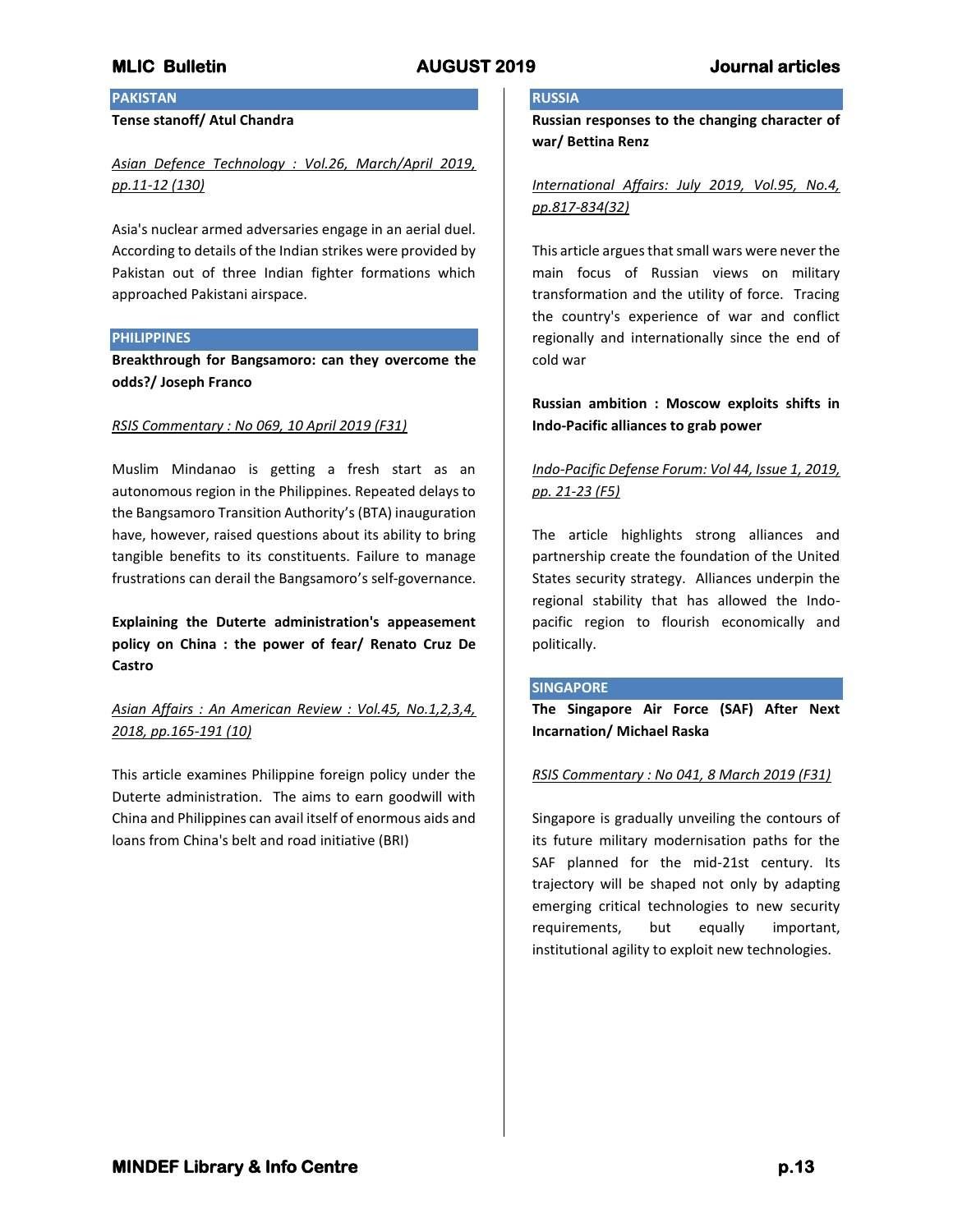# **PAKISTAN**

## **Tense stanoff/ Atul Chandra**

# *Asian Defence Technology : Vol.26, March/April 2019, pp.11-12 (130)*

Asia's nuclear armed adversaries engage in an aerial duel. According to details of the Indian strikes were provided by Pakistan out of three Indian fighter formations which approached Pakistani airspace.

### **PHILIPPINES**

**Breakthrough for Bangsamoro: can they overcome the odds?/ Joseph Franco**

### *RSIS Commentary : No 069, 10 April 2019 (F31)*

Muslim Mindanao is getting a fresh start as an autonomous region in the Philippines. Repeated delays to the Bangsamoro Transition Authority's (BTA) inauguration have, however, raised questions about its ability to bring tangible benefits to its constituents. Failure to manage frustrations can derail the Bangsamoro's self-governance.

**Explaining the Duterte administration's appeasement policy on China : the power of fear/ Renato Cruz De Castro**

# *Asian Affairs : An American Review : Vol.45, No.1,2,3,4, 2018, pp.165-191 (10)*

This article examines Philippine foreign policy under the Duterte administration. The aims to earn goodwill with China and Philippines can avail itself of enormous aids and loans from China's belt and road initiative (BRI)

## **RUSSIA**

**Russian responses to the changing character of war/ Bettina Renz**

# *International Affairs: July 2019, Vol.95, No.4, pp.817-834(32)*

This article argues that small wars were never the main focus of Russian views on military transformation and the utility of force. Tracing the country's experience of war and conflict regionally and internationally since the end of cold war

# **Russian ambition : Moscow exploits shifts in Indo-Pacific alliances to grab power**

# *Indo-Pacific Defense Forum: Vol 44, Issue 1, 2019, pp. 21-23 (F5)*

The article highlights strong alliances and partnership create the foundation of the United States security strategy. Alliances underpin the regional stability that has allowed the Indopacific region to flourish economically and politically.

### **SINGAPORE**

**The Singapore Air Force (SAF) After Next Incarnation/ Michael Raska**

### *RSIS Commentary : No 041, 8 March 2019 (F31)*

Singapore is gradually unveiling the contours of its future military modernisation paths for the SAF planned for the mid-21st century. Its trajectory will be shaped not only by adapting emerging critical technologies to new security requirements, but equally important, institutional agility to exploit new technologies.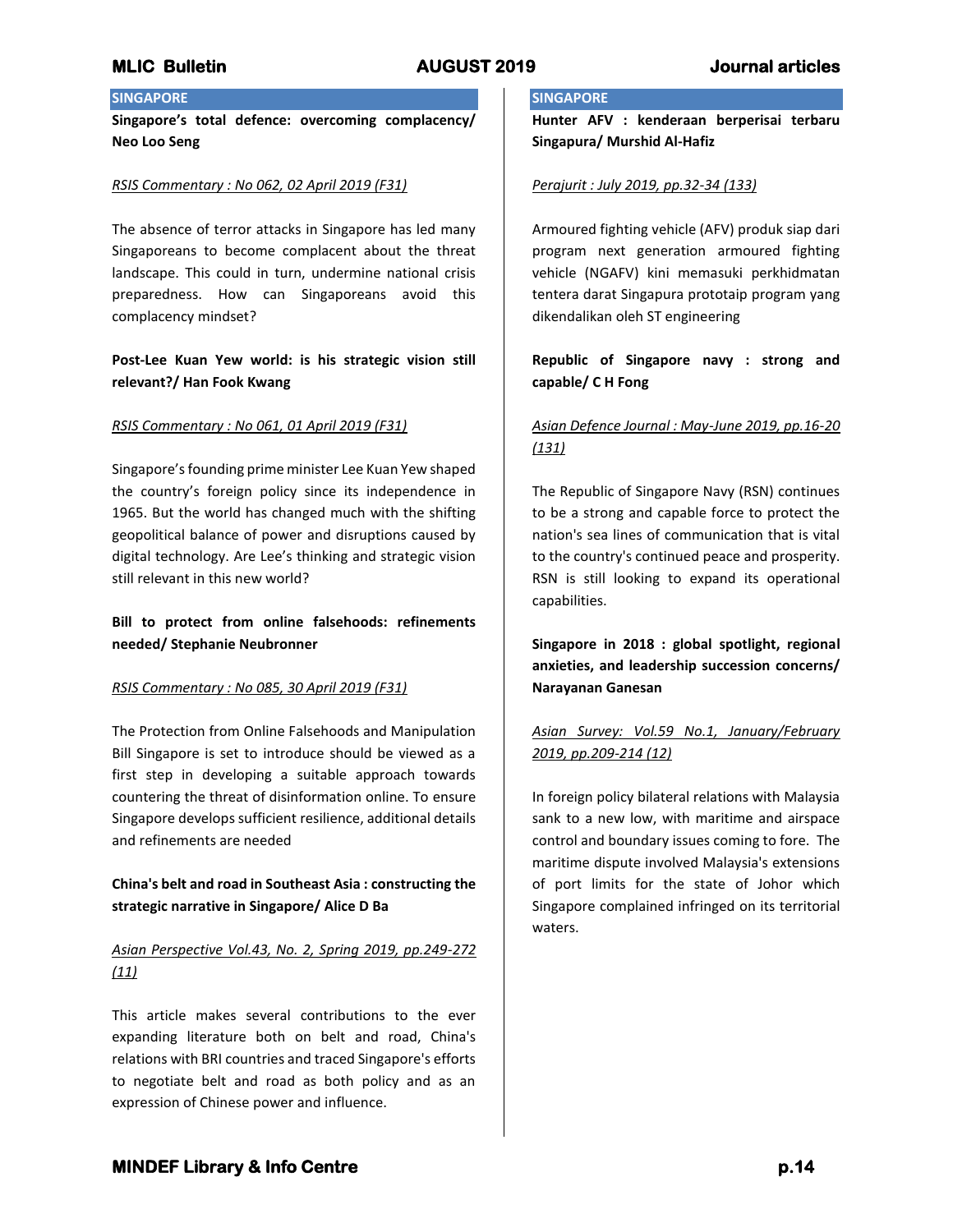# **SINGAPORE**

**Singapore's total defence: overcoming complacency/ Neo Loo Seng**

### *RSIS Commentary : No 062, 02 April 2019 (F31)*

The absence of terror attacks in Singapore has led many Singaporeans to become complacent about the threat landscape. This could in turn, undermine national crisis preparedness. How can Singaporeans avoid this complacency mindset?

**Post-Lee Kuan Yew world: is his strategic vision still relevant?/ Han Fook Kwang**

### *RSIS Commentary : No 061, 01 April 2019 (F31)*

Singapore's founding prime minister Lee Kuan Yew shaped the country's foreign policy since its independence in 1965. But the world has changed much with the shifting geopolitical balance of power and disruptions caused by digital technology. Are Lee's thinking and strategic vision still relevant in this new world?

**Bill to protect from online falsehoods: refinements needed/ Stephanie Neubronner**

### *RSIS Commentary : No 085, 30 April 2019 (F31)*

The Protection from Online Falsehoods and Manipulation Bill Singapore is set to introduce should be viewed as a first step in developing a suitable approach towards countering the threat of disinformation online. To ensure Singapore develops sufficient resilience, additional details and refinements are needed

# **China's belt and road in Southeast Asia : constructing the strategic narrative in Singapore/ Alice D Ba**

# *Asian Perspective Vol.43, No. 2, Spring 2019, pp.249-272 (11)*

This article makes several contributions to the ever expanding literature both on belt and road, China's relations with BRI countries and traced Singapore's efforts to negotiate belt and road as both policy and as an expression of Chinese power and influence.

## **SINGAPORE**

**Hunter AFV : kenderaan berperisai terbaru Singapura/ Murshid Al-Hafiz**

### *Perajurit : July 2019, pp.32-34 (133)*

Armoured fighting vehicle (AFV) produk siap dari program next generation armoured fighting vehicle (NGAFV) kini memasuki perkhidmatan tentera darat Singapura prototaip program yang dikendalikan oleh ST engineering

# **Republic of Singapore navy : strong and capable/ C H Fong**

# *Asian Defence Journal : May-June 2019, pp.16-20 (131)*

The Republic of Singapore Navy (RSN) continues to be a strong and capable force to protect the nation's sea lines of communication that is vital to the country's continued peace and prosperity. RSN is still looking to expand its operational capabilities.

**Singapore in 2018 : global spotlight, regional anxieties, and leadership succession concerns/ Narayanan Ganesan**

# *Asian Survey: Vol.59 No.1, January/February 2019, pp.209-214 (12)*

In foreign policy bilateral relations with Malaysia sank to a new low, with maritime and airspace control and boundary issues coming to fore. The maritime dispute involved Malaysia's extensions of port limits for the state of Johor which Singapore complained infringed on its territorial waters.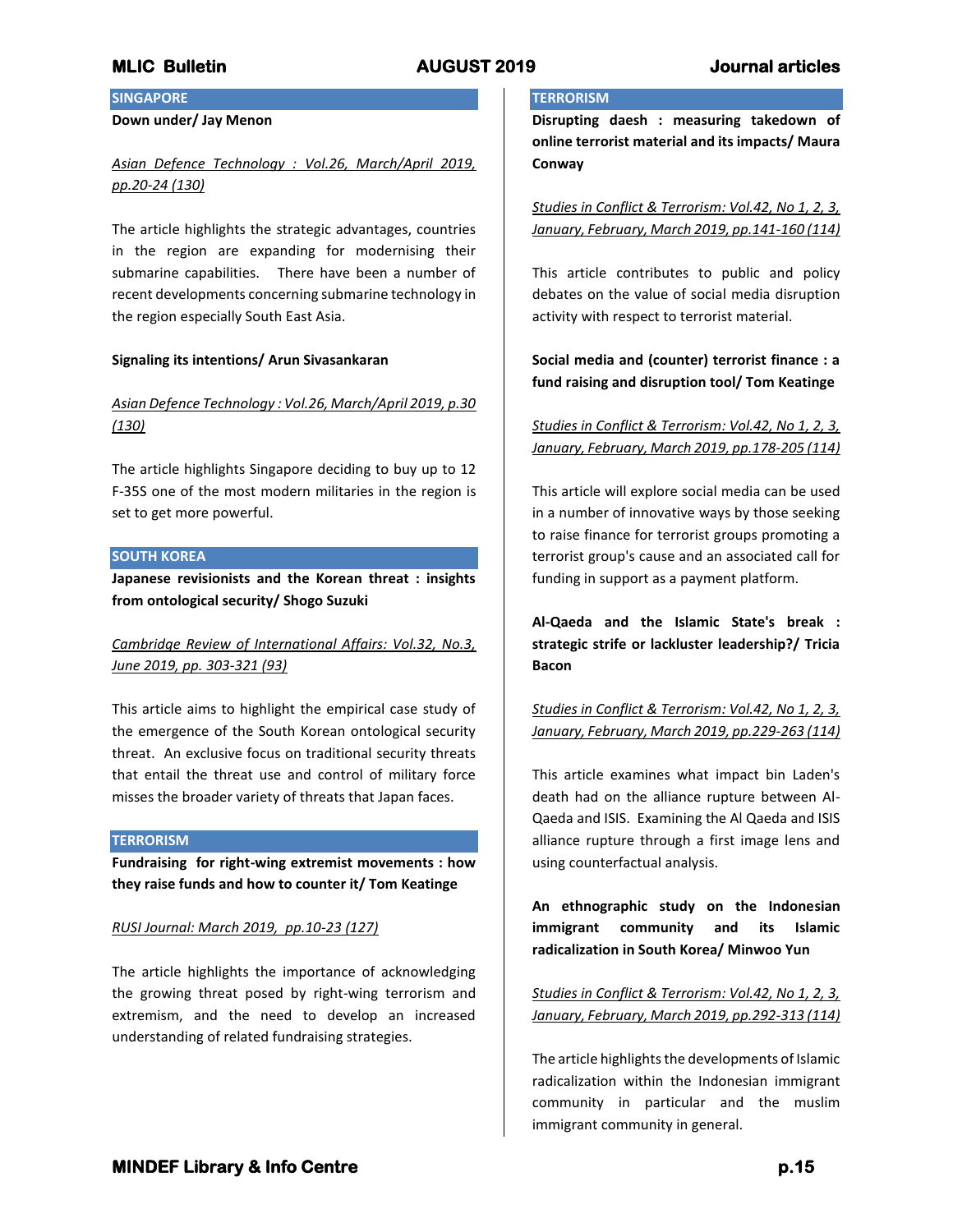# **SINGAPORE**

## **Down under/ Jay Menon**

# *Asian Defence Technology : Vol.26, March/April 2019, pp.20-24 (130)*

The article highlights the strategic advantages, countries in the region are expanding for modernising their submarine capabilities. There have been a number of recent developments concerning submarine technology in the region especially South East Asia.

## **Signaling its intentions/ Arun Sivasankaran**

# *Asian Defence Technology : Vol.26, March/April 2019, p.30 (130)*

The article highlights Singapore deciding to buy up to 12 F-35S one of the most modern militaries in the region is set to get more powerful.

## **SOUTH KOREA**

**Japanese revisionists and the Korean threat : insights from ontological security/ Shogo Suzuki**

# *Cambridge Review of International Affairs: Vol.32, No.3, June 2019, pp. 303-321 (93)*

This article aims to highlight the empirical case study of the emergence of the South Korean ontological security threat. An exclusive focus on traditional security threats that entail the threat use and control of military force misses the broader variety of threats that Japan faces.

### **TERRORISM**

**Fundraising for right-wing extremist movements : how they raise funds and how to counter it/ Tom Keatinge**

### *RUSI Journal: March 2019, pp.10-23 (127)*

The article highlights the importance of acknowledging the growing threat posed by right-wing terrorism and extremism, and the need to develop an increased understanding of related fundraising strategies.

## **TERRORISM**

**Disrupting daesh : measuring takedown of online terrorist material and its impacts/ Maura Conway**

*Studies in Conflict & Terrorism: Vol.42, No 1, 2, 3, January, February, March 2019, pp.141-160 (114)*

This article contributes to public and policy debates on the value of social media disruption activity with respect to terrorist material.

**Social media and (counter) terrorist finance : a fund raising and disruption tool/ Tom Keatinge**

# *Studies in Conflict & Terrorism: Vol.42, No 1, 2, 3, January, February, March 2019, pp.178-205 (114)*

This article will explore social media can be used in a number of innovative ways by those seeking to raise finance for terrorist groups promoting a terrorist group's cause and an associated call for funding in support as a payment platform.

**Al-Qaeda and the Islamic State's break : strategic strife or lackluster leadership?/ Tricia Bacon**

# *Studies in Conflict & Terrorism: Vol.42, No 1, 2, 3, January, February, March 2019, pp.229-263 (114)*

This article examines what impact bin Laden's death had on the alliance rupture between Al-Qaeda and ISIS. Examining the Al Qaeda and ISIS alliance rupture through a first image lens and using counterfactual analysis.

**An ethnographic study on the Indonesian immigrant community and its Islamic radicalization in South Korea/ Minwoo Yun**

*Studies in Conflict & Terrorism: Vol.42, No 1, 2, 3, January, February, March 2019, pp.292-313 (114)*

The article highlights the developments of Islamic radicalization within the Indonesian immigrant community in particular and the muslim immigrant community in general.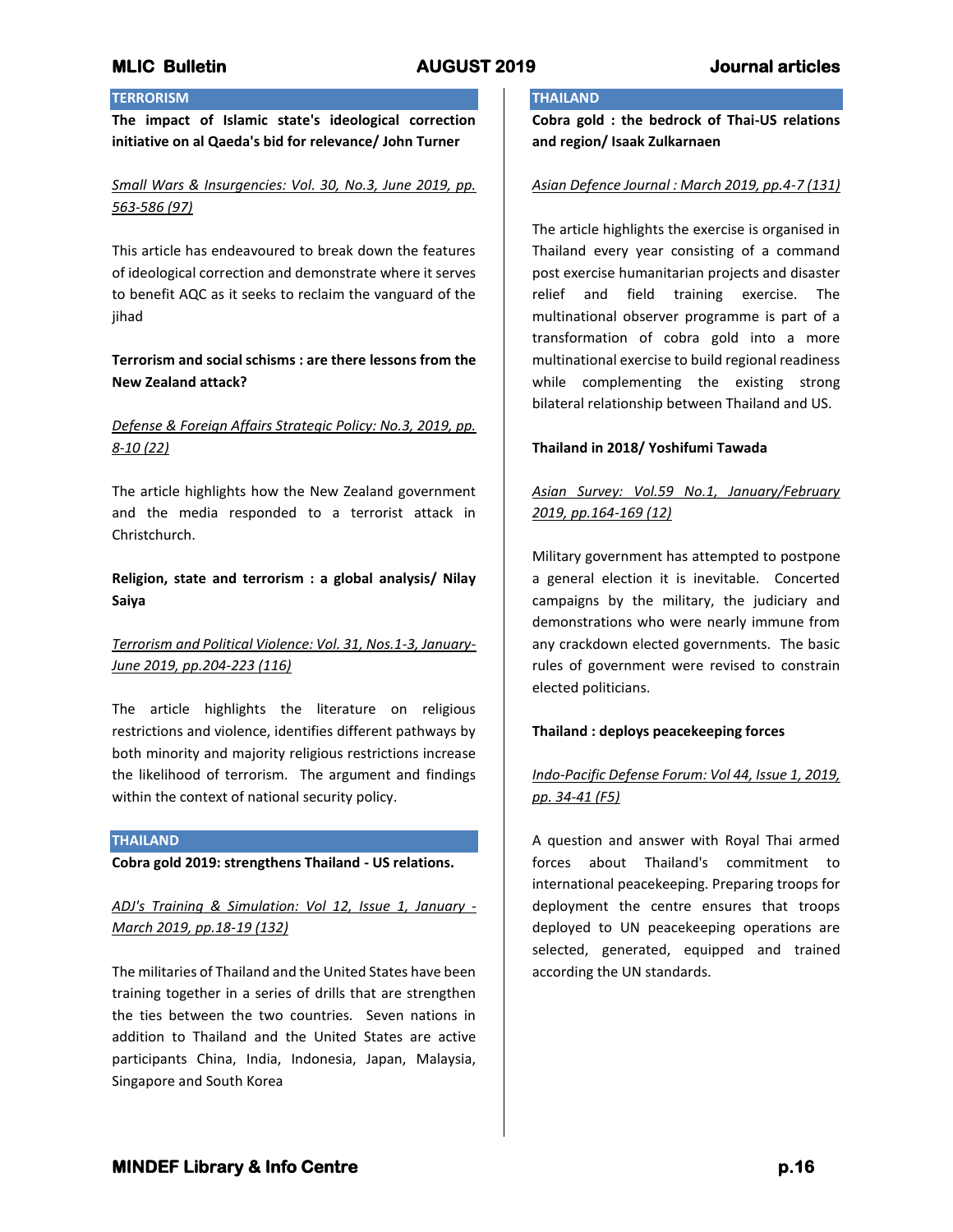# **TERRORISM**

**The impact of Islamic state's ideological correction initiative on al Qaeda's bid for relevance/ John Turner**

# *Small Wars & Insurgencies: Vol. 30, No.3, June 2019, pp. 563-586 (97)*

This article has endeavoured to break down the features of ideological correction and demonstrate where it serves to benefit AQC as it seeks to reclaim the vanguard of the jihad

# **Terrorism and social schisms : are there lessons from the New Zealand attack?**

# *Defense & Foreign Affairs Strategic Policy: No.3, 2019, pp. 8-10 (22)*

The article highlights how the New Zealand government and the media responded to a terrorist attack in Christchurch.

# **Religion, state and terrorism : a global analysis/ Nilay Saiya**

# *Terrorism and Political Violence: Vol. 31, Nos.1-3, January-June 2019, pp.204-223 (116)*

The article highlights the literature on religious restrictions and violence, identifies different pathways by both minority and majority religious restrictions increase the likelihood of terrorism. The argument and findings within the context of national security policy.

## **THAILAND**

**Cobra gold 2019: strengthens Thailand - US relations.**

*ADJ's Training & Simulation: Vol 12, Issue 1, January - March 2019, pp.18-19 (132)*

The militaries of Thailand and the United States have been training together in a series of drills that are strengthen the ties between the two countries. Seven nations in addition to Thailand and the United States are active participants China, India, Indonesia, Japan, Malaysia, Singapore and South Korea

## **THAILAND**

**Cobra gold : the bedrock of Thai-US relations and region/ Isaak Zulkarnaen**

## *Asian Defence Journal : March 2019, pp.4-7 (131)*

The article highlights the exercise is organised in Thailand every year consisting of a command post exercise humanitarian projects and disaster relief and field training exercise. The multinational observer programme is part of a transformation of cobra gold into a more multinational exercise to build regional readiness while complementing the existing strong bilateral relationship between Thailand and US.

## **Thailand in 2018/ Yoshifumi Tawada**

# *Asian Survey: Vol.59 No.1, January/February 2019, pp.164-169 (12)*

Military government has attempted to postpone a general election it is inevitable. Concerted campaigns by the military, the judiciary and demonstrations who were nearly immune from any crackdown elected governments. The basic rules of government were revised to constrain elected politicians.

## **Thailand : deploys peacekeeping forces**

# *Indo-Pacific Defense Forum: Vol 44, Issue 1, 2019, pp. 34-41 (F5)*

A question and answer with Royal Thai armed forces about Thailand's commitment to international peacekeeping. Preparing troops for deployment the centre ensures that troops deployed to UN peacekeeping operations are selected, generated, equipped and trained according the UN standards.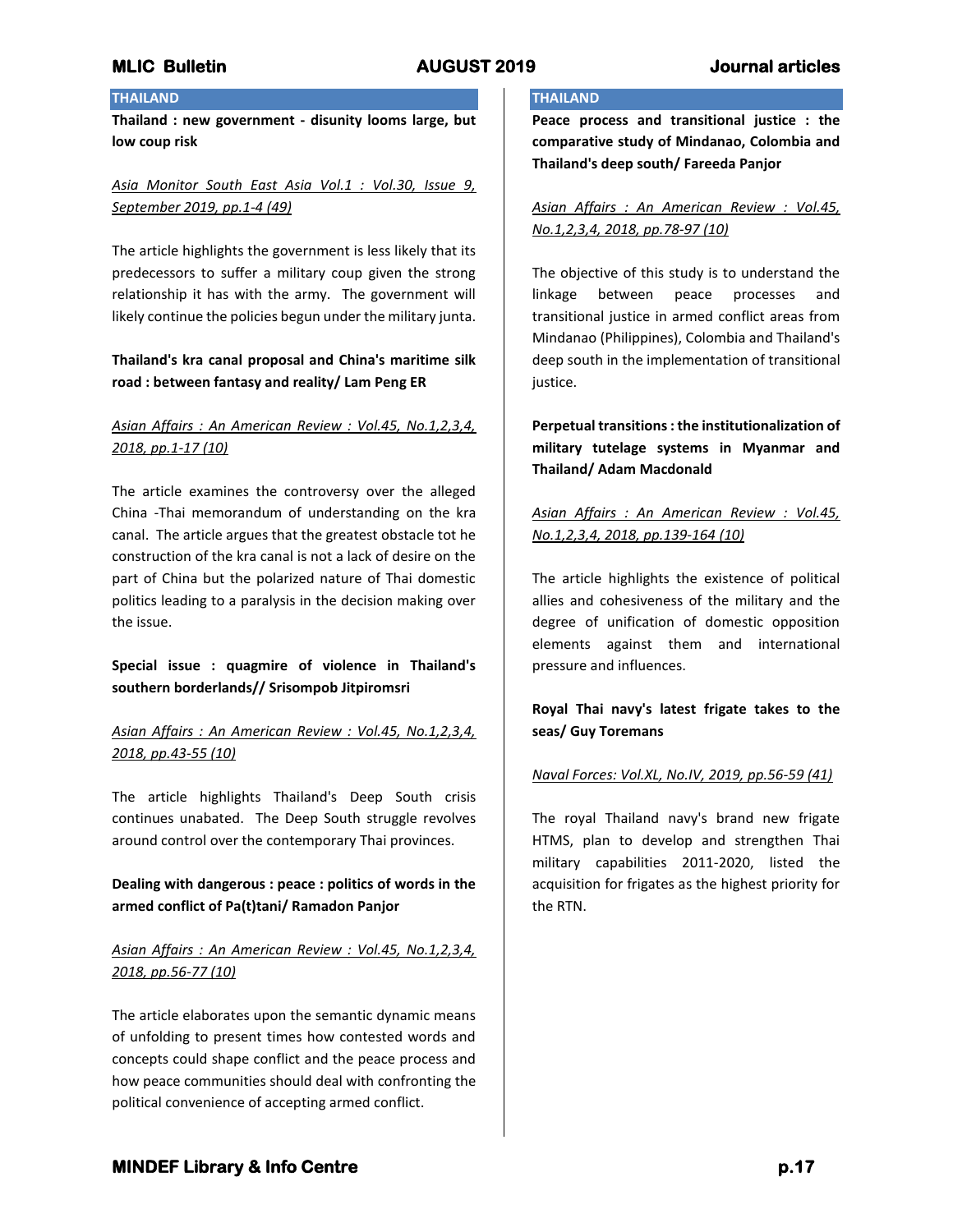## **THAILAND**

**Thailand : new government - disunity looms large, but low coup risk**

# *Asia Monitor South East Asia Vol.1 : Vol.30, Issue 9, September 2019, pp.1-4 (49)*

The article highlights the government is less likely that its predecessors to suffer a military coup given the strong relationship it has with the army. The government will likely continue the policies begun under the military junta.

# **Thailand's kra canal proposal and China's maritime silk road : between fantasy and reality/ Lam Peng ER**

# *Asian Affairs : An American Review : Vol.45, No.1,2,3,4, 2018, pp.1-17 (10)*

The article examines the controversy over the alleged China -Thai memorandum of understanding on the kra canal. The article argues that the greatest obstacle tot he construction of the kra canal is not a lack of desire on the part of China but the polarized nature of Thai domestic politics leading to a paralysis in the decision making over the issue.

**Special issue : quagmire of violence in Thailand's southern borderlands// Srisompob Jitpiromsri**

# *Asian Affairs : An American Review : Vol.45, No.1,2,3,4, 2018, pp.43-55 (10)*

The article highlights Thailand's Deep South crisis continues unabated. The Deep South struggle revolves around control over the contemporary Thai provinces.

# **Dealing with dangerous : peace : politics of words in the armed conflict of Pa(t)tani/ Ramadon Panjor**

# *Asian Affairs : An American Review : Vol.45, No.1,2,3,4, 2018, pp.56-77 (10)*

The article elaborates upon the semantic dynamic means of unfolding to present times how contested words and concepts could shape conflict and the peace process and how peace communities should deal with confronting the political convenience of accepting armed conflict.

## **THAILAND**

**Peace process and transitional justice : the comparative study of Mindanao, Colombia and Thailand's deep south/ Fareeda Panjor**

*Asian Affairs : An American Review : Vol.45, No.1,2,3,4, 2018, pp.78-97 (10)*

The objective of this study is to understand the linkage between peace processes and transitional justice in armed conflict areas from Mindanao (Philippines), Colombia and Thailand's deep south in the implementation of transitional justice.

**Perpetual transitions : the institutionalization of military tutelage systems in Myanmar and Thailand/ Adam Macdonald**

# *Asian Affairs : An American Review : Vol.45, No.1,2,3,4, 2018, pp.139-164 (10)*

The article highlights the existence of political allies and cohesiveness of the military and the degree of unification of domestic opposition elements against them and international pressure and influences.

# **Royal Thai navy's latest frigate takes to the seas/ Guy Toremans**

## *Naval Forces: Vol.XL, No.IV, 2019, pp.56-59 (41)*

The royal Thailand navy's brand new frigate HTMS, plan to develop and strengthen Thai military capabilities 2011-2020, listed the acquisition for frigates as the highest priority for the RTN.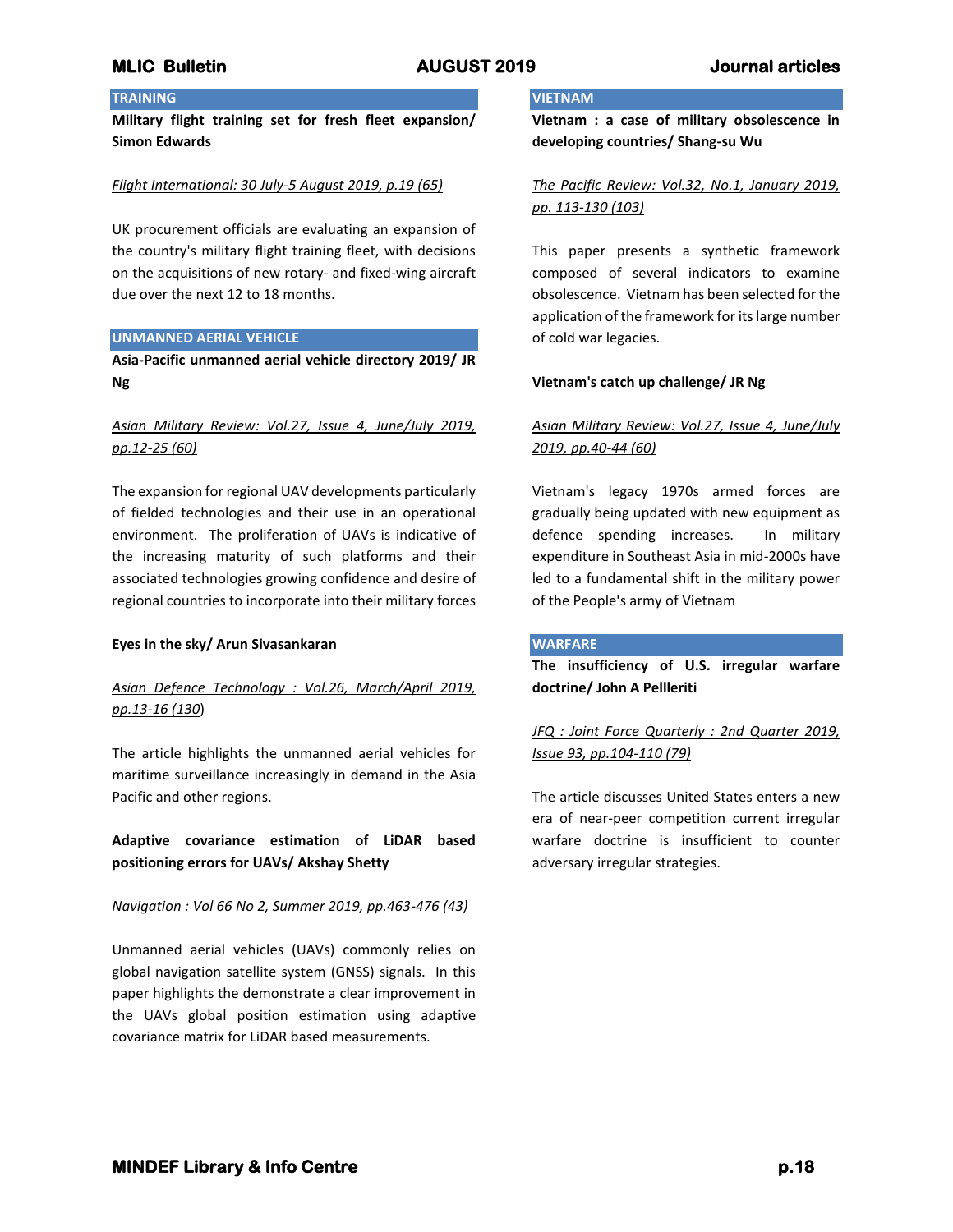## **TRAINING**

**Military flight training set for fresh fleet expansion/ Simon Edwards**

## *Flight International: 30 July-5 August 2019, p.19 (65)*

UK procurement officials are evaluating an expansion of the country's military flight training fleet, with decisions on the acquisitions of new rotary- and fixed-wing aircraft due over the next 12 to 18 months.

## **UNMANNED AERIAL VEHICLE**

**Asia-Pacific unmanned aerial vehicle directory 2019/ JR Ng**

# *Asian Military Review: Vol.27, Issue 4, June/July 2019, pp.12-25 (60)*

The expansion for regional UAV developments particularly of fielded technologies and their use in an operational environment. The proliferation of UAVs is indicative of the increasing maturity of such platforms and their associated technologies growing confidence and desire of regional countries to incorporate into their military forces

### **Eyes in the sky/ Arun Sivasankaran**

# *Asian Defence Technology : Vol.26, March/April 2019, pp.13-16 (130*)

The article highlights the unmanned aerial vehicles for maritime surveillance increasingly in demand in the Asia Pacific and other regions.

**Adaptive covariance estimation of LiDAR based positioning errors for UAVs/ Akshay Shetty**

## *Navigation : Vol 66 No 2, Summer 2019, pp.463-476 (43)*

Unmanned aerial vehicles (UAVs) commonly relies on global navigation satellite system (GNSS) signals. In this paper highlights the demonstrate a clear improvement in the UAVs global position estimation using adaptive covariance matrix for LiDAR based measurements.

## **VIETNAM**

**Vietnam : a case of military obsolescence in developing countries/ Shang-su Wu**

# *The Pacific Review: Vol.32, No.1, January 2019, pp. 113-130 (103)*

This paper presents a synthetic framework composed of several indicators to examine obsolescence. Vietnam has been selected for the application of the framework for its large number of cold war legacies.

## **Vietnam's catch up challenge/ JR Ng**

# *Asian Military Review: Vol.27, Issue 4, June/July 2019, pp.40-44 (60)*

Vietnam's legacy 1970s armed forces are gradually being updated with new equipment as defence spending increases. In military expenditure in Southeast Asia in mid-2000s have led to a fundamental shift in the military power of the People's army of Vietnam

### **WARFARE**

**The insufficiency of U.S. irregular warfare doctrine/ John A Pellleriti**

# *JFQ : Joint Force Quarterly : 2nd Quarter 2019, Issue 93, pp.104-110 (79)*

The article discusses United States enters a new era of near-peer competition current irregular warfare doctrine is insufficient to counter adversary irregular strategies.